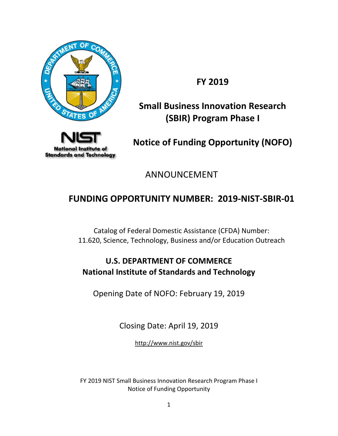

**FY 2019**

# **Small Business Innovation Research (SBIR) Program Phase I**



**Notice of Funding Opportunity (NOFO)**

ANNOUNCEMENT

# **FUNDING OPPORTUNITY NUMBER: 2019-NIST-SBIR-01**

Catalog of Federal Domestic Assistance (CFDA) Number: 11.620, Science, Technology, Business and/or Education Outreach

# **U.S. DEPARTMENT OF COMMERCE National Institute of Standards and Technology**

Opening Date of NOFO: February 19, 2019

Closing Date: April 19, 2019

<http://www.nist.gov/sbir>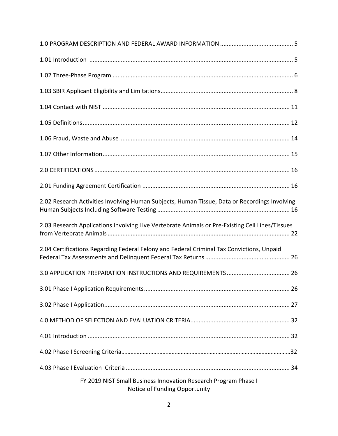| 2.02 Research Activities Involving Human Subjects, Human Tissue, Data or Recordings Involving    |
|--------------------------------------------------------------------------------------------------|
| 2.03 Research Applications Involving Live Vertebrate Animals or Pre-Existing Cell Lines/Tissues  |
| 2.04 Certifications Regarding Federal Felony and Federal Criminal Tax Convictions, Unpaid        |
|                                                                                                  |
|                                                                                                  |
|                                                                                                  |
|                                                                                                  |
|                                                                                                  |
|                                                                                                  |
|                                                                                                  |
| FY 2019 NIST Small Business Innovation Research Program Phase I<br>Notice of Funding Opportunity |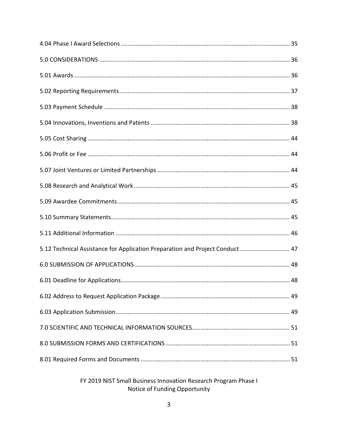| 5.12 Technical Assistance for Application Preparation and Project Conduct  47 |
|-------------------------------------------------------------------------------|
|                                                                               |
|                                                                               |
|                                                                               |
|                                                                               |
|                                                                               |
|                                                                               |
|                                                                               |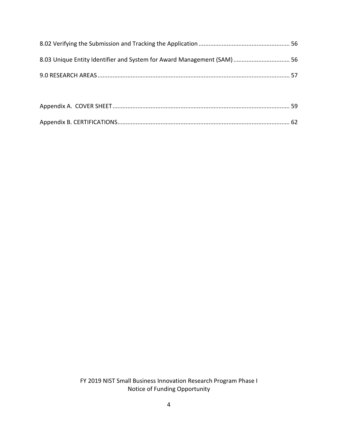| 8.03 Unique Entity Identifier and System for Award Management (SAM)  56 |  |
|-------------------------------------------------------------------------|--|
|                                                                         |  |
|                                                                         |  |
|                                                                         |  |
|                                                                         |  |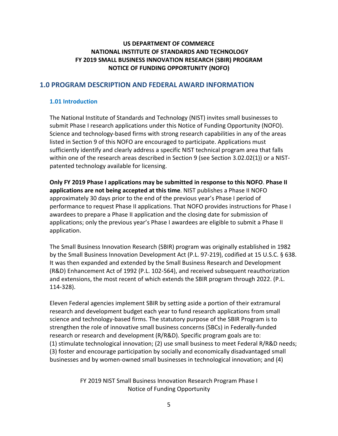### **US DEPARTMENT OF COMMERCE NATIONAL INSTITUTE OF STANDARDS AND TECHNOLOGY FY 2019 SMALL BUSINESS INNOVATION RESEARCH (SBIR) PROGRAM NOTICE OF FUNDING OPPORTUNITY (NOFO)**

### <span id="page-4-0"></span>**1.0 PROGRAM DESCRIPTION AND FEDERAL AWARD INFORMATION**

#### <span id="page-4-1"></span>**1.01 Introduction**

The National Institute of Standards and Technology (NIST) invites small businesses to submit Phase I research applications under this Notice of Funding Opportunity (NOFO). Science and technology-based firms with strong research capabilities in any of the areas listed in Section 9 of this NOFO are encouraged to participate. Applications must sufficiently identify and clearly address a specific NIST technical program area that falls within one of the research areas described in Section 9 (see Section 3.02.02(1)) or a NISTpatented technology available for licensing.

**Only FY 2019 Phase I applications may be submitted in response to this NOFO**. **Phase II applications are not being accepted at this time**. NIST publishes a Phase II NOFO approximately 30 days prior to the end of the previous year's Phase I period of performance to request Phase II applications. That NOFO provides instructions for Phase I awardees to prepare a Phase II application and the closing date for submission of applications; only the previous year's Phase I awardees are eligible to submit a Phase II application.

The Small Business Innovation Research (SBIR) program was originally established in 1982 by the Small Business Innovation Development Act (P.L. 97-219), codified at 15 U.S.C. § 638. It was then expanded and extended by the Small Business Research and Development (R&D) Enhancement Act of 1992 (P.L. 102-564), and received subsequent reauthorization and extensions, the most recent of which extends the SBIR program through 2022. (P.L. 114-328).

Eleven Federal agencies implement SBIR by setting aside a portion of their extramural research and development budget each year to fund research applications from small science and technology-based firms. The statutory purpose of the SBIR Program is to strengthen the role of innovative small business concerns (SBCs) in Federally-funded research or research and development (R/R&D). Specific program goals are to: (1) stimulate technological innovation; (2) use small business to meet Federal R/R&D needs; (3) foster and encourage participation by socially and economically disadvantaged small businesses and by women-owned small businesses in technological innovation; and (4)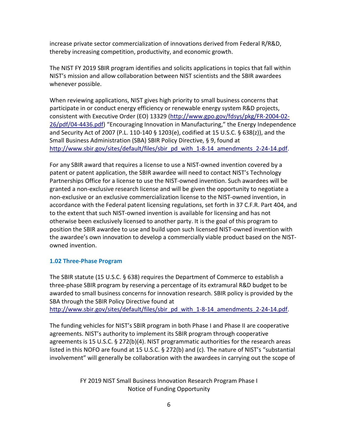increase private sector commercialization of innovations derived from Federal R/R&D, thereby increasing competition, productivity, and economic growth.

The NIST FY 2019 SBIR program identifies and solicits applications in topics that fall within NIST's mission and allow collaboration between NIST scientists and the SBIR awardees whenever possible.

When reviewing applications, NIST gives high priority to small business concerns that participate in or conduct energy efficiency or renewable energy system R&D projects, consistent with Executive Order (EO) 13329 [\(http://www.gpo.gov/fdsys/pkg/FR-2004-02-](http://www.gpo.gov/fdsys/pkg/FR-2004-02-26/pdf/04-4436.pdf) [26/pdf/04-4436.pdf\)](http://www.gpo.gov/fdsys/pkg/FR-2004-02-26/pdf/04-4436.pdf) "Encouraging Innovation in Manufacturing," the Energy Independence and Security Act of 2007 (P.L. 110-140 § 1203(e), codified at 15 U.S.C. § 638(z)), and the Small Business Administration (SBA) SBIR Policy Directive, § 9, found at [http://www.sbir.gov/sites/default/files/sbir\\_pd\\_with\\_1-8-14\\_amendments\\_2-24-14.pdf.](http://www.sbir.gov/sites/default/files/sbir_pd_with_1-8-14_amendments_2-24-14.pdf)

For any SBIR award that requires a license to use a NIST-owned invention covered by a patent or patent application, the SBIR awardee will need to contact NIST's Technology Partnerships Office for a license to use the NIST-owned invention. Such awardees will be granted a non-exclusive research license and will be given the opportunity to negotiate a non-exclusive or an exclusive commercialization license to the NIST-owned invention, in accordance with the Federal patent licensing regulations, set forth in 37 C.F.R. Part 404, and to the extent that such NIST-owned invention is available for licensing and has not otherwise been exclusively licensed to another party. It is the goal of this program to position the SBIR awardee to use and build upon such licensed NIST-owned invention with the awardee's own innovation to develop a commercially viable product based on the NISTowned invention.

### <span id="page-5-0"></span>**1.02 Three-Phase Program**

The SBIR statute (15 U.S.C. § 638) requires the Department of Commerce to establish a three-phase SBIR program by reserving a percentage of its extramural R&D budget to be awarded to small business concerns for innovation research. SBIR policy is provided by the SBA through the SBIR Policy Directive found at [http://www.sbir.gov/sites/default/files/sbir\\_pd\\_with\\_1-8-14\\_amendments\\_2-24-14.pdf.](http://www.sbir.gov/sites/default/files/sbir_pd_with_1-8-14_amendments_2-24-14.pdf)

The funding vehicles for NIST's SBIR program in both Phase I and Phase II are cooperative agreements. NIST's authority to implement its SBIR program through cooperative agreements is 15 U.S.C. § 272(b)(4). NIST programmatic authorities for the research areas listed in this NOFO are found at 15 U.S.C. § 272(b) and (c). The nature of NIST's "substantial involvement" will generally be collaboration with the awardees in carrying out the scope of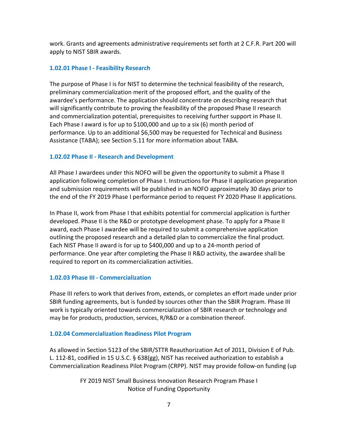work. Grants and agreements administrative requirements set forth at 2 C.F.R. Part 200 will apply to NIST SBIR awards.

#### **1.02.01 Phase I - Feasibility Research**

The purpose of Phase I is for NIST to determine the technical feasibility of the research, preliminary commercialization merit of the proposed effort, and the quality of the awardee's performance. The application should concentrate on describing research that will significantly contribute to proving the feasibility of the proposed Phase II research and commercialization potential, prerequisites to receiving further support in Phase II. Each Phase I award is for up to \$100,000 and up to a six (6) month period of performance. Up to an additional \$6,500 may be requested for Technical and Business Assistance (TABA); see Section 5.11 for more information about TABA.

#### **1.02.02 Phase II - Research and Development**

All Phase I awardees under this NOFO will be given the opportunity to submit a Phase II application following completion of Phase I. Instructions for Phase II application preparation and submission requirements will be published in an NOFO approximately 30 days prior to the end of the FY 2019 Phase I performance period to request FY 2020 Phase II applications.

In Phase II, work from Phase I that exhibits potential for commercial application is further developed. Phase II is the R&D or prototype development phase. To apply for a Phase II award, each Phase I awardee will be required to submit a comprehensive application outlining the proposed research and a detailed plan to commercialize the final product. Each NIST Phase II award is for up to \$400,000 and up to a 24-month period of performance. One year after completing the Phase II R&D activity, the awardee shall be required to report on its commercialization activities.

#### **1.02.03 Phase III - Commercialization**

Phase III refers to work that derives from, extends, or completes an effort made under prior SBIR funding agreements, but is funded by sources other than the SBIR Program. Phase III work is typically oriented towards commercialization of SBIR research or technology and may be for products, production, services, R/R&D or a combination thereof.

#### **1.02.04 Commercialization Readiness Pilot Program**

As allowed in Section 5123 of the SBIR/STTR Reauthorization Act of 2011, Division E of Pub. L. 112-81, codified in 15 U.S.C. § 638(gg), NIST has received authorization to establish a Commercialization Readiness Pilot Program (CRPP). NIST may provide follow-on funding (up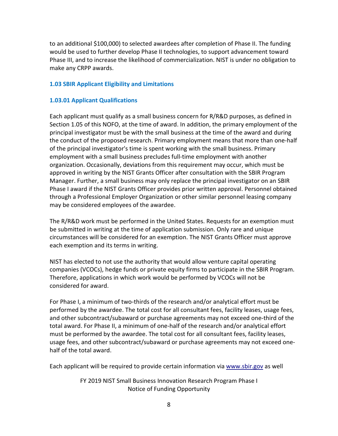to an additional \$100,000) to selected awardees after completion of Phase II. The funding would be used to further develop Phase II technologies, to support advancement toward Phase III, and to increase the likelihood of commercialization. NIST is under no obligation to make any CRPP awards.

#### <span id="page-7-0"></span>**1.03 SBIR Applicant Eligibility and Limitations**

#### **1.03.01 Applicant Qualifications**

Each applicant must qualify as a small business concern for R/R&D purposes, as defined in Section 1.05 of this NOFO, at the time of award. In addition, the primary employment of the principal investigator must be with the small business at the time of the award and during the conduct of the proposed research. Primary employment means that more than one-half of the principal investigator's time is spent working with the small business. Primary employment with a small business precludes full-time employment with another organization. Occasionally, deviations from this requirement may occur, which must be approved in writing by the NIST Grants Officer after consultation with the SBIR Program Manager. Further, a small business may only replace the principal investigator on an SBIR Phase I award if the NIST Grants Officer provides prior written approval. Personnel obtained through a Professional Employer Organization or other similar personnel leasing company may be considered employees of the awardee.

The R/R&D work must be performed in the United States. Requests for an exemption must be submitted in writing at the time of application submission. Only rare and unique circumstances will be considered for an exemption. The NIST Grants Officer must approve each exemption and its terms in writing.

NIST has elected to not use the authority that would allow venture capital operating companies (VCOCs), hedge funds or private equity firms to participate in the SBIR Program. Therefore, applications in which work would be performed by VCOCs will not be considered for award.

For Phase I, a minimum of two-thirds of the research and/or analytical effort must be performed by the awardee. The total cost for all consultant fees, facility leases, usage fees, and other subcontract/subaward or purchase agreements may not exceed one-third of the total award. For Phase II, a minimum of one-half of the research and/or analytical effort must be performed by the awardee. The total cost for all consultant fees, facility leases, usage fees, and other subcontract/subaward or purchase agreements may not exceed onehalf of the total award.

Each applicant will be required to provide certain information via [www.sbir.gov](http://www.sbir.gov/) as well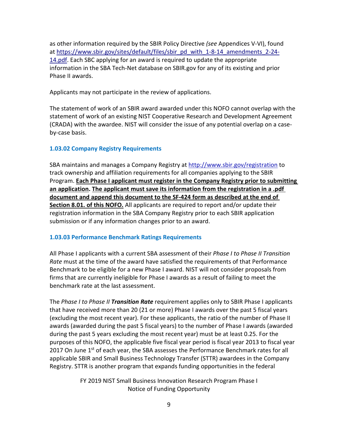as other information required by the SBIR Policy Directive *(see* Appendices V-VI), found at [https://www.sbir.gov/sites/default/files/sbir\\_pd\\_with\\_1-8-14\\_amendments\\_2-24-](https://www.sbir.gov/sites/default/files/sbir_pd_with_1-8-14_amendments_2-24-14.pdf) [14.pdf.](https://www.sbir.gov/sites/default/files/sbir_pd_with_1-8-14_amendments_2-24-14.pdf) Each SBC applying for an award is required to update the appropriate information in the SBA Tech-Net database on SBIR.gov for any of its existing and prior Phase II awards.

Applicants may not participate in the review of applications.

The statement of work of an SBIR award awarded under this NOFO cannot overlap with the statement of work of an existing NIST Cooperative Research and Development Agreement (CRADA) with the awardee. NIST will consider the issue of any potential overlap on a caseby-case basis.

### **1.03.02 Company Registry Requirements**

SBA maintains and manages a Company Registry at<http://www.sbir.gov/registration> to track ownership and affiliation requirements for all companies applying to the SBIR Program. **Each Phase I applicant must register in the Company Registry prior to submitting an application. The applicant must save its information from the registration in a .pdf document and append this document to the SF-424 form as described at the end of Section 8.01. of this NOFO.** All applicants are required to report and/or update their registration information in the SBA Company Registry prior to each SBIR application submission or if any information changes prior to an award.

### **1.03.03 Performance Benchmark Ratings Requirements**

All Phase I applicants with a current SBA assessment of their *Phase I to Phase II Transition Rate* must at the time of the award have satisfied the requirements of that Performance Benchmark to be eligible for a new Phase I award. NIST will not consider proposals from firms that are currently ineligible for Phase I awards as a result of failing to meet the benchmark rate at the last assessment.

The *Phase I to Phase II Transition Rate* requirement applies only to SBIR Phase I applicants that have received more than 20 (21 or more) Phase I awards over the past 5 fiscal years (excluding the most recent year). For these applicants, the ratio of the number of Phase II awards (awarded during the past 5 fiscal years) to the number of Phase I awards (awarded during the past 5 years excluding the most recent year) must be at least 0.25. For the purposes of this NOFO, the applicable five fiscal year period is fiscal year 2013 to fiscal year 2017 On June 1<sup>st</sup> of each year, the SBA assesses the Performance Benchmark rates for all applicable SBIR and Small Business Technology Transfer (STTR) awardees in the Company Registry. STTR is another program that expands funding opportunities in the federal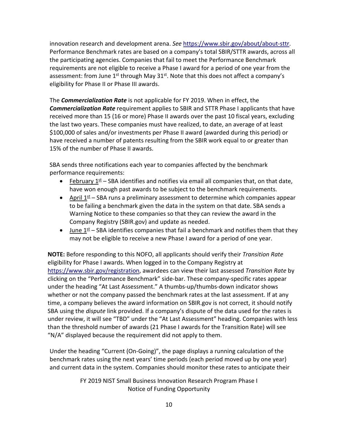innovation research and development arena. *See* [https://www.sbir.gov/about/about-sttr.](https://www.sbir.gov/about/about-sttr) Performance Benchmark rates are based on a company's total SBIR/STTR awards, across all the participating agencies. Companies that fail to meet the Performance Benchmark requirements are not eligible to receive a Phase I award for a period of one year from the assessment: from June  $1^{st}$  through May  $31^{st}$ . Note that this does not affect a company's eligibility for Phase II or Phase III awards.

The *Commercialization Rate* is not applicable for FY 2019. When in effect, the *Commercialization Rate* requirement applies to SBIR and STTR Phase I applicants that have received more than 15 (16 or more) Phase II awards over the past 10 fiscal years, excluding the last two years. These companies must have realized, to date, an average of at least \$100,000 of sales and/or investments per Phase II award (awarded during this period) or have received a number of patents resulting from the SBIR work equal to or greater than 15% of the number of Phase II awards.

SBA sends three notifications each year to companies affected by the benchmark performance requirements:

- February  $1^{st}$  SBA identifies and notifies via email all companies that, on that date, have won enough past awards to be subject to the benchmark requirements.
- April  $1<sup>st</sup>$  SBA runs a preliminary assessment to determine which companies appear to be failing a benchmark given the data in the system on that date. SBA sends a Warning Notice to these companies so that they can review the award in the Company Registry (SBIR.gov) and update as needed.
- June  $1<sup>st</sup>$  SBA identifies companies that fail a benchmark and notifies them that they may not be eligible to receive a new Phase I award for a period of one year.

**NOTE:** Before responding to this NOFO, all applicants should verify their *Transition Rate*  eligibility for Phase I awards. When logged in to the Company Registry at [https://www.sbir.gov/registration,](https://www.sbir.gov/registration) awardees can view their last assessed *Transition Rate* by clicking on the "Performance Benchmark" side-bar. These company-specific rates appear under the heading "At Last Assessment." A thumbs-up/thumbs-down indicator shows whether or not the company passed the benchmark rates at the last assessment. If at any time, a company believes the award information on SBIR.gov is not correct, it should notify SBA using the *dispute* link provided. If a company's dispute of the data used for the rates is under review, it will see "TBD" under the "At Last Assessment" heading. Companies with less than the threshold number of awards (21 Phase I awards for the Transition Rate) will see "N/A" displayed because the requirement did not apply to them.

Under the heading "Current (On-Going)", the page displays a running calculation of the benchmark rates using the next years' time periods (each period moved up by one year) and current data in the system. Companies should monitor these rates to anticipate their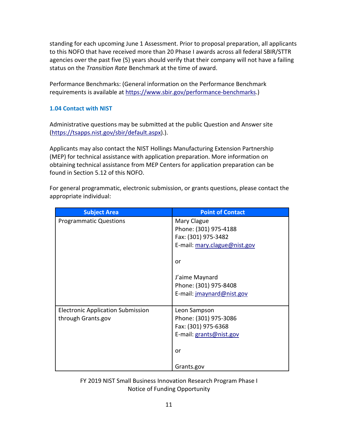standing for each upcoming June 1 Assessment. Prior to proposal preparation, all applicants to this NOFO that have received more than 20 Phase I awards across all federal SBIR/STTR agencies over the past five (5) years should verify that their company will not have a failing status on the *Transition Rate* Benchmark at the time of award.

Performance Benchmarks: (General information on the Performance Benchmark requirements is available at [https://www.sbir.gov/performance-benchmarks.](https://www.sbir.gov/performance-benchmarks))

### <span id="page-10-0"></span>**1.04 Contact with NIST**

Administrative questions may be submitted at the public Question and Answer site [\(https://tsapps.nist.gov/sbir/default.aspx\)](https://tsapps.nist.gov/sbir/default.aspx).).

Applicants may also contact the NIST Hollings Manufacturing Extension Partnership (MEP) for technical assistance with application preparation. More information on obtaining technical assistance from MEP Centers for application preparation can be found in Section 5.12 of this NOFO.

For general programmatic, electronic submission, or grants questions, please contact the appropriate individual:

| <b>Subject Area</b>                      | <b>Point of Contact</b>      |
|------------------------------------------|------------------------------|
| <b>Programmatic Questions</b>            | Mary Clague                  |
|                                          | Phone: (301) 975-4188        |
|                                          | Fax: (301) 975-3482          |
|                                          | E-mail: mary.clague@nist.gov |
|                                          | or                           |
|                                          | J'aime Maynard               |
|                                          | Phone: (301) 975-8408        |
|                                          | E-mail: jmaynard@nist.gov    |
| <b>Electronic Application Submission</b> | Leon Sampson                 |
| through Grants.gov                       | Phone: (301) 975-3086        |
|                                          | Fax: (301) 975-6368          |
|                                          | E-mail: grants@nist.gov      |
|                                          | or                           |
|                                          | Grants.gov                   |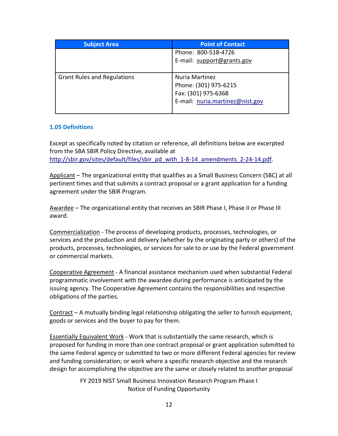| <b>Subject Area</b>                | <b>Point of Contact</b>         |
|------------------------------------|---------------------------------|
|                                    | Phone: 800-518-4726             |
|                                    | E-mail: support@grants.gov      |
|                                    |                                 |
| <b>Grant Rules and Regulations</b> | Nuria Martinez                  |
|                                    | Phone: (301) 975-6215           |
|                                    | Fax: (301) 975-6368             |
|                                    | E-mail: nuria.martinez@nist.gov |
|                                    |                                 |

### <span id="page-11-0"></span>**1.05 Definitions**

Except as specifically noted by citation or reference, all definitions below are excerpted from the SBA SBIR Policy Directive, available at [http://sbir.gov/sites/default/files/sbir\\_pd\\_with\\_1-8-14\\_amendments\\_2-24-14.pdf.](http://sbir.gov/sites/default/files/sbir_pd_with_1-8-14_amendments_2-24-14.pdf)

Applicant – The organizational entity that qualifies as a Small Business Concern (SBC) at all pertinent times and that submits a contract proposal or a grant application for a funding agreement under the SBIR Program.

Awardee – The organizational entity that receives an SBIR Phase I, Phase II or Phase III award.

Commercialization - The process of developing products, processes, technologies, or services and the production and delivery (whether by the originating party or others) of the products, processes, technologies, or services for sale to or use by the Federal government or commercial markets.

Cooperative Agreement - A financial assistance mechanism used when substantial Federal programmatic involvement with the awardee during performance is anticipated by the issuing agency. The Cooperative Agreement contains the responsibilities and respective obligations of the parties.

Contract – A mutually binding legal relationship obligating the seller to furnish equipment, goods or services and the buyer to pay for them.

Essentially Equivalent Work - Work that is substantially the same research, which is proposed for funding in more than one contract proposal or grant application submitted to the same Federal agency or submitted to two or more different Federal agencies for review and funding consideration; or work where a specific research objective and the research design for accomplishing the objective are the same or closely related to another proposal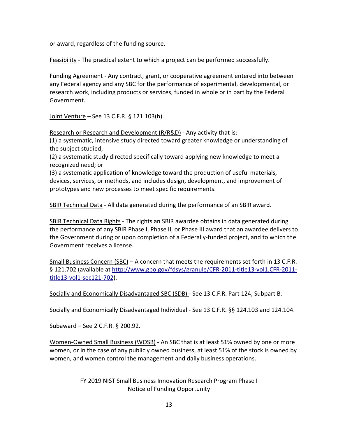or award, regardless of the funding source.

Feasibility - The practical extent to which a project can be performed successfully.

Funding Agreement - Any contract, grant, or cooperative agreement entered into between any Federal agency and any SBC for the performance of experimental, developmental, or research work, including products or services, funded in whole or in part by the Federal Government.

Joint Venture – [See 13 C.F.R.](http://www.law.cornell.edu/cfr/text/13/121.103) § 121.103(h).

Research or Research and Development (R/R&D) - Any activity that is:

(1) a systematic, intensive study directed toward greater knowledge or understanding of the subject studied;

(2) a systematic study directed specifically toward applying new knowledge to meet a recognized need; or

(3) a systematic application of knowledge toward the production of useful materials, devices, services, or methods, and includes design, development, and improvement of prototypes and new processes to meet specific requirements.

SBIR Technical Data - All data generated during the performance of an SBIR award.

SBIR Technical Data Rights - The rights an SBIR awardee obtains in data generated during the performance of any SBIR Phase I, Phase II, or Phase III award that an awardee delivers to the Government during or upon completion of a Federally-funded project, and to which the Government receives a license.

Small Business Concern (SBC) – A concern that meets the requirements set forth in 13 C.F.R. § 121.702 (available at [http://www.gpo.gov/fdsys/granule/CFR-2011-title13-vol1.CFR-2011](http://www.gpo.gov/fdsys/pkg/CFR-2011-title13-vol1/pdf/CFR-2011-title13-vol1-sec121-801.pdf) [title13-vol1-sec121-702\)](http://www.gpo.gov/fdsys/pkg/CFR-2011-title13-vol1/pdf/CFR-2011-title13-vol1-sec121-801.pdf).

Socially and Economically Disadvantaged SBC (SDB) - Se[e 13 C.F.R.](https://www.federalregister.gov/select-citation/2012/08/06/13-CFR-124) Part 124, Subpart B.

Socially and Economically Disadvantaged Individual - See 13 C.F.R. [§§ 124.103](https://www.federalregister.gov/select-citation/2012/08/06/13-CFR-124.103) and 124.104.

Subaward – See 2 C.F.R. § 200.92.

Women-Owned Small Business (WOSB) - An SBC that is at least 51% owned by one or more women, or in the case of any publicly owned business, at least 51% of the stock is owned by women, and women control the management and daily business operations.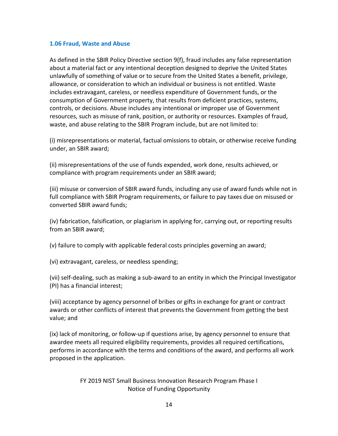#### <span id="page-13-0"></span>**1.06 Fraud, Waste and Abuse**

As defined in the SBIR Policy Directive section 9(f), fraud includes any false representation about a material fact or any intentional deception designed to deprive the United States unlawfully of something of value or to secure from the United States a benefit, privilege, allowance, or consideration to which an individual or business is not entitled. Waste includes extravagant, careless, or needless expenditure of Government funds, or the consumption of Government property, that results from deficient practices, systems, controls, or decisions. Abuse includes any intentional or improper use of Government resources, such as misuse of rank, position, or authority or resources. Examples of fraud, waste, and abuse relating to the SBIR Program include, but are not limited to:

(i) misrepresentations or material, factual omissions to obtain, or otherwise receive funding under, an SBIR award;

(ii) misrepresentations of the use of funds expended, work done, results achieved, or compliance with program requirements under an SBIR award;

(iii) misuse or conversion of SBIR award funds, including any use of award funds while not in full compliance with SBIR Program requirements, or failure to pay taxes due on misused or converted SBIR award funds;

(iv) fabrication, falsification, or plagiarism in applying for, carrying out, or reporting results from an SBIR award;

(v) failure to comply with applicable federal costs principles governing an award;

(vi) extravagant, careless, or needless spending;

(vii) self-dealing, such as making a sub-award to an entity in which the Principal Investigator (PI) has a financial interest;

(viii) acceptance by agency personnel of bribes or gifts in exchange for grant or contract awards or other conflicts of interest that prevents the Government from getting the best value; and

(ix) lack of monitoring, or follow-up if questions arise, by agency personnel to ensure that awardee meets all required eligibility requirements, provides all required certifications, performs in accordance with the terms and conditions of the award, and performs all work proposed in the application.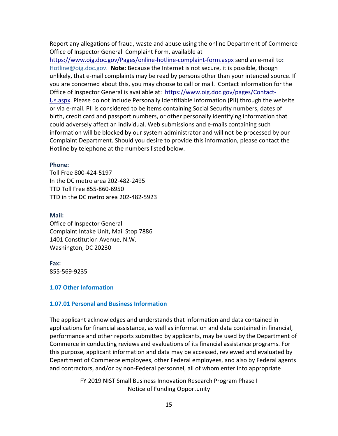Report any allegations of fraud, waste and abuse using the online Department of Commerce Office of Inspector General [Complaint Form,](https://www.oig.doc.gov/Pages/online-hotline-complaint-form.aspx) available at

<https://www.oig.doc.gov/Pages/online-hotline-complaint-form.aspx> send an e-mail to**:**  [Hotline@oig.doc.gov.](mailto:Hotline@oig.doc.gov) **Note:** Because the Internet is not secure, it is possible, though unlikely, that e-mail complaints may be read by persons other than your intended source. If you are concerned about this, you may choose to call or mail. Contact information for the Office of Inspector General is available at: [https://www.oig.doc.gov/pages/Contact-](https://www.oig.doc.gov/pages/Contact-Us.aspx)[Us.aspx.](https://www.oig.doc.gov/pages/Contact-Us.aspx) Please do not include Personally Identifiable Information (PII) through the website or via e-mail. PII is considered to be items containing Social Security numbers, dates of birth, credit card and passport numbers, or other personally identifying information that could adversely affect an individual. Web submissions and e-mails containing such information will be blocked by our system administrator and will not be processed by our Complaint Department. Should you desire to provide this information, please contact the Hotline by telephone at the numbers listed below.

#### **Phone:**

Toll Free 800-424-5197 In the DC metro area 202-482-2495 TTD Toll Free 855-860-6950 TTD in the DC metro area 202-482-5923

#### **Mail:**

Office of Inspector General Complaint Intake Unit, Mail Stop 7886 1401 Constitution Avenue, N.W. Washington, DC 20230

#### **Fax:**

855-569-9235

#### <span id="page-14-0"></span>**1.07 Other Information**

#### **1.07.01 Personal and Business Information**

The applicant acknowledges and understands that information and data contained in applications for financial assistance, as well as information and data contained in financial, performance and other reports submitted by applicants, may be used by the Department of Commerce in conducting reviews and evaluations of its financial assistance programs. For this purpose, applicant information and data may be accessed, reviewed and evaluated by Department of Commerce employees, other Federal employees, and also by Federal agents and contractors, and/or by non-Federal personnel, all of whom enter into appropriate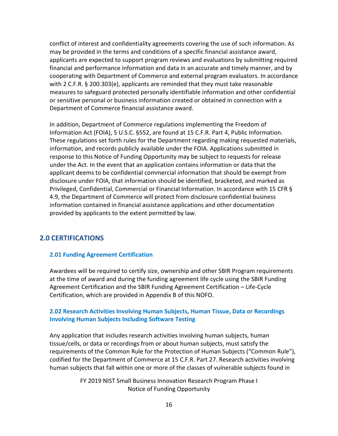conflict of interest and confidentiality agreements covering the use of such information. As may be provided in the terms and conditions of a specific financial assistance award, applicants are expected to support program reviews and evaluations by submitting required financial and performance information and data in an accurate and timely manner, and by cooperating with Department of Commerce and external program evaluators. In accordance with 2 C.F.R. § 200.303(e), applicants are reminded that they must take reasonable measures to safeguard protected personally identifiable information and other confidential or sensitive personal or business information created or obtained in connection with a Department of Commerce financial assistance award.

In addition, Department of Commerce regulations implementing the Freedom of Information Act (FOIA), 5 U.S.C. §552, are found at 15 C.F.R. Part 4, Public Information. These regulations set forth rules for the Department regarding making requested materials, information, and records publicly available under the FOIA. Applications submitted in response to this Notice of Funding Opportunity may be subject to requests for release under the Act. In the event that an application contains information or data that the applicant deems to be confidential commercial information that should be exempt from disclosure under FOIA, that information should be identified, bracketed, and marked as Privileged, Confidential, Commercial or Financial Information. In accordance with 15 CFR § 4.9, the Department of Commerce will protect from disclosure confidential business information contained in financial assistance applications and other documentation provided by applicants to the extent permitted by law.

### <span id="page-15-0"></span>**2.0 CERTIFICATIONS**

### <span id="page-15-1"></span>**2.01 Funding Agreement Certification**

Awardees will be required to certify size, ownership and other SBIR Program requirements at the time of award and during the funding agreement life cycle using the SBIR Funding Agreement Certification and the SBIR Funding Agreement Certification – Life-Cycle Certification, which are provided in Appendix B of this NOFO.

### <span id="page-15-2"></span>**2.02 Research Activities Involving Human Subjects, Human Tissue, Data or Recordings Involving Human Subjects Including Software Testing**

Any application that includes research activities involving human subjects, human tissue/cells, or data or recordings from or about human subjects, must satisfy the requirements of the Common Rule for the Protection of Human Subjects ("Common Rule"), codified for the Department of Commerce at 15 C.F.R. Part 27. Research activities involving human subjects that fall within one or more of the classes of vulnerable subjects found in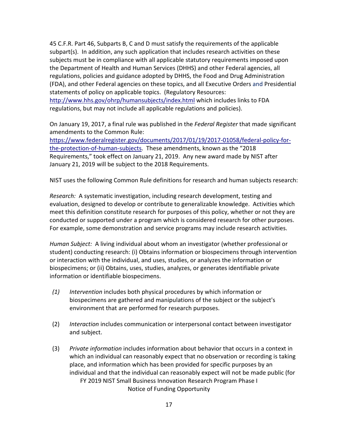45 C.F.R. Part 46, Subparts B, C and D must satisfy the requirements of the applicable subpart(s). In addition, any such application that includes research activities on these subjects must be in compliance with all applicable statutory requirements imposed upon the Department of Health and Human Services (DHHS) and other Federal agencies, all regulations, policies and guidance adopted by DHHS, the Food and Drug Administration (FDA), and other Federal agencies on these topics, and all Executive Orders and Presidential statements of policy on applicable topics. (Regulatory Resources: <http://www.hhs.gov/ohrp/humansubjects/index.html> which includes links to FDA regulations, but may not include all applicable regulations and policies).

On January 19, 2017, a final rule was published in the *Federal Register* that made significant amendments to the Common Rule:

[https://www.federalregister.gov/documents/2017/01/19/2017-01058/federal-policy-for](https://www.federalregister.gov/documents/2017/01/19/2017-01058/federal-policy-for-the-protection-of-human-subjects)[the-protection-of-human-subjects.](https://www.federalregister.gov/documents/2017/01/19/2017-01058/federal-policy-for-the-protection-of-human-subjects) These amendments, known as the "2018 Requirements," took effect on January 21, 2019. Any new award made by NIST after January 21, 2019 will be subject to the 2018 Requirements.

NIST uses the following Common Rule definitions for research and human subjects research:

*Research:* A systematic investigation, including research development, testing and evaluation, designed to develop or contribute to generalizable knowledge. Activities which meet this definition constitute research for purposes of this policy, whether or not they are conducted or supported under a program which is considered research for other purposes. For example, some demonstration and service programs may include research activities.

*Human Subject:* A living individual about whom an investigator (whether professional or student) conducting research: (i) Obtains information or biospecimens through intervention or interaction with the individual, and uses, studies, or analyzes the information or biospecimens; or (ii) Obtains, uses, studies, analyzes, or generates identifiable private information or identifiable biospecimens.

- *(1) Intervention* includes both physical procedures by which information or biospecimens are gathered and manipulations of the subject or the subject's environment that are performed for research purposes.
- (2) *Interaction* includes communication or interpersonal contact between investigator and subject.
- FY 2019 NIST Small Business Innovation Research Program Phase I Notice of Funding Opportunity (3) *Private information* includes information about behavior that occurs in a context in which an individual can reasonably expect that no observation or recording is taking place, and information which has been provided for specific purposes by an individual and that the individual can reasonably expect will not be made public (for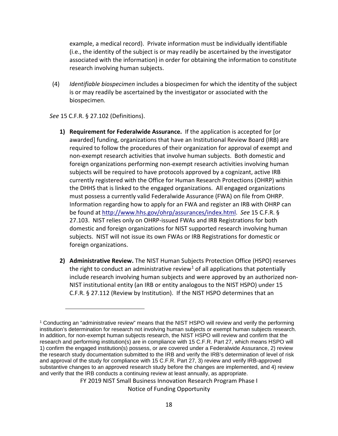example, a medical record). Private information must be individually identifiable (i.e., the identity of the subject is or may readily be ascertained by the investigator associated with the information) in order for obtaining the information to constitute research involving human subjects.

(4) *Identifiable biospecimen* includes a biospecimen for which the identity of the subject is or may readily be ascertained by the investigator or associated with the biospecimen.

*See* 15 C.F.R. § 27.102 (Definitions).

 $\overline{a}$ 

- **1) Requirement for Federalwide Assurance.** If the application is accepted for [or awarded] funding, organizations that have an Institutional Review Board (IRB) are required to follow the procedures of their organization for approval of exempt and non-exempt research activities that involve human subjects. Both domestic and foreign organizations performing non-exempt research activities involving human subjects will be required to have protocols approved by a cognizant, active IRB currently registered with the Office for Human Research Protections (OHRP) within the DHHS that is linked to the engaged organizations. All engaged organizations must possess a currently valid Federalwide Assurance (FWA) on file from OHRP. Information regarding how to apply for an FWA and register an IRB with OHRP can be found at [http://www.hhs.gov/ohrp/assurances/index.html.](http://www.hhs.gov/ohrp/assurances/index.html) *See* 15 C.F.R. § 27.103. NIST relies only on OHRP-issued FWAs and IRB Registrations for both domestic and foreign organizations for NIST supported research involving human subjects. NIST will not issue its own FWAs or IRB Registrations for domestic or foreign organizations.
- **2) Administrative Review.** The NIST Human Subjects Protection Office (HSPO) reserves the right to conduct an administrative review<sup>[1](#page-17-0)</sup> of all applications that potentially include research involving human subjects and were approved by an authorized non-NIST institutional entity (an IRB or entity analogous to the NIST HSPO) under 15 C.F.R. § 27.112 (Review by Institution). If the NIST HSPO determines that an

FY 2019 NIST Small Business Innovation Research Program Phase I

Notice of Funding Opportunity

<span id="page-17-0"></span><sup>1</sup> Conducting an "administrative review" means that the NIST HSPO will review and verify the performing institution's determination for research not involving human subjects or exempt human subjects research. In addition, for non-exempt human subjects research, the NIST HSPO will review and confirm that the research and performing institution(s) are in compliance with 15 C.F.R. Part 27, which means HSPO will 1) confirm the engaged institution(s) possess, or are covered under a Federalwide Assurance, 2) review the research study documentation submitted to the IRB and verify the IRB's determination of level of risk and approval of the study for compliance with 15 C.F.R. Part 27, 3) review and verify IRB-approved substantive changes to an approved research study before the changes are implemented, and 4) review and verify that the IRB conducts a continuing review at least annually, as appropriate.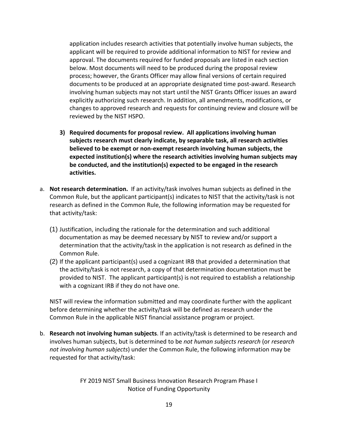application includes research activities that potentially involve human subjects, the applicant will be required to provide additional information to NIST for review and approval. The documents required for funded proposals are listed in each section below. Most documents will need to be produced during the proposal review process; however, the Grants Officer may allow final versions of certain required documents to be produced at an appropriate designated time post-award. Research involving human subjects may not start until the NIST Grants Officer issues an award explicitly authorizing such research. In addition, all amendments, modifications, or changes to approved research and requests for continuing review and closure will be reviewed by the NIST HSPO.

- **3) Required documents for proposal review. All applications involving human subjects research must clearly indicate, by separable task, all research activities believed to be exempt or non-exempt research involving human subjects, the expected institution(s) where the research activities involving human subjects may be conducted, and the institution(s) expected to be engaged in the research activities.**
- a. **Not research determination.** If an activity/task involves human subjects as defined in the Common Rule, but the applicant participant(s) indicates to NIST that the activity/task is not research as defined in the Common Rule, the following information may be requested for that activity/task:
	- (1) Justification, including the rationale for the determination and such additional documentation as may be deemed necessary by NIST to review and/or support a determination that the activity/task in the application is not research as defined in the Common Rule.
	- (2) If the applicant participant(s) used a cognizant IRB that provided a determination that the activity/task is not research, a copy of that determination documentation must be provided to NIST. The applicant participant(s) is not required to establish a relationship with a cognizant IRB if they do not have one.

NIST will review the information submitted and may coordinate further with the applicant before determining whether the activity/task will be defined as research under the Common Rule in the applicable NIST financial assistance program or project.

b. **Research not involving human subjects**. If an activity/task is determined to be research and involves human subjects, but is determined to be *not human subjects research* (or *research not involving human subjects*) under the Common Rule, the following information may be requested for that activity/task: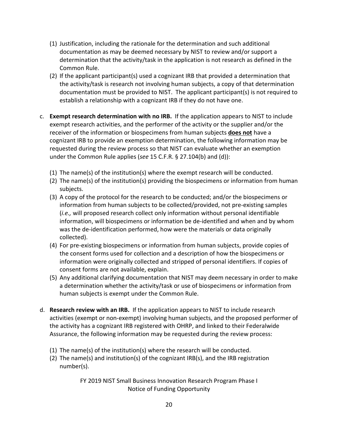- (1) Justification, including the rationale for the determination and such additional documentation as may be deemed necessary by NIST to review and/or support a determination that the activity/task in the application is not research as defined in the Common Rule.
- (2) If the applicant participant(s) used a cognizant IRB that provided a determination that the activity/task is research not involving human subjects, a copy of that determination documentation must be provided to NIST. The applicant participant(s) is not required to establish a relationship with a cognizant IRB if they do not have one.
- c. **Exempt research determination with no IRB.** If the application appears to NIST to include exempt research activities, and the performer of the activity or the supplier and/or the receiver of the information or biospecimens from human subjects **does not** have a cognizant IRB to provide an exemption determination, the following information may be requested during the review process so that NIST can evaluate whether an exemption under the Common Rule applies (*see* 15 C.F.R. § 27.104(b) and (d)):
	- (1) The name(s) of the institution(s) where the exempt research will be conducted.
	- (2) The name(s) of the institution(s) providing the biospecimens or information from human subjects.
	- (3) A copy of the protocol for the research to be conducted; and/or the biospecimens or information from human subjects to be collected/provided, not pre-existing samples (*i.e.,* will proposed research collect only information without personal identifiable information, will biospecimens or information be de-identified and when and by whom was the de-identification performed, how were the materials or data originally collected).
	- (4) For pre-existing biospecimens or information from human subjects, provide copies of the consent forms used for collection and a description of how the biospecimens or information were originally collected and stripped of personal identifiers. If copies of consent forms are not available, explain.
	- (5) Any additional clarifying documentation that NIST may deem necessary in order to make a determination whether the activity/task or use of biospecimens or information from human subjects is exempt under the Common Rule.
- d. **Research review with an IRB.** If the application appears to NIST to include research activities (exempt or non-exempt) involving human subjects, and the proposed performer of the activity has a cognizant IRB registered with OHRP, and linked to their Federalwide Assurance, the following information may be requested during the review process:
	- (1) The name(s) of the institution(s) where the research will be conducted.
	- (2) The name(s) and institution(s) of the cognizant IRB(s), and the IRB registration number(s).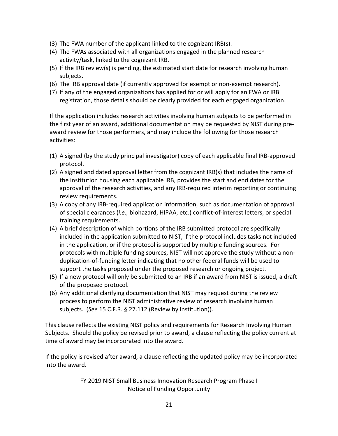- (3) The FWA number of the applicant linked to the cognizant IRB(s).
- (4) The FWAs associated with all organizations engaged in the planned research activity/task, linked to the cognizant IRB.
- (5) If the IRB review(s) is pending, the estimated start date for research involving human subjects.
- (6) The IRB approval date (if currently approved for exempt or non-exempt research).
- (7) If any of the engaged organizations has applied for or will apply for an FWA or IRB registration, those details should be clearly provided for each engaged organization.

If the application includes research activities involving human subjects to be performed in the first year of an award, additional documentation may be requested by NIST during preaward review for those performers, and may include the following for those research activities:

- (1) A signed (by the study principal investigator) copy of each applicable final IRB-approved protocol.
- (2) A signed and dated approval letter from the cognizant IRB(s) that includes the name of the institution housing each applicable IRB, provides the start and end dates for the approval of the research activities, and any IRB-required interim reporting or continuing review requirements.
- (3) A copy of any IRB-required application information, such as documentation of approval of special clearances (*i.e.,* biohazard, HIPAA, etc.) conflict-of-interest letters, or special training requirements.
- (4) A brief description of which portions of the IRB submitted protocol are specifically included in the application submitted to NIST, if the protocol includes tasks not included in the application, or if the protocol is supported by multiple funding sources. For protocols with multiple funding sources, NIST will not approve the study without a nonduplication-of-funding letter indicating that no other federal funds will be used to support the tasks proposed under the proposed research or ongoing project.
- (5) If a new protocol will only be submitted to an IRB if an award from NIST is issued, a draft of the proposed protocol.
- (6) Any additional clarifying documentation that NIST may request during the review process to perform the NIST administrative review of research involving human subjects. (*See* 15 C.F.R. § 27.112 (Review by Institution)).

This clause reflects the existing NIST policy and requirements for Research Involving Human Subjects. Should the policy be revised prior to award, a clause reflecting the policy current at time of award may be incorporated into the award.

If the policy is revised after award, a clause reflecting the updated policy may be incorporated into the award.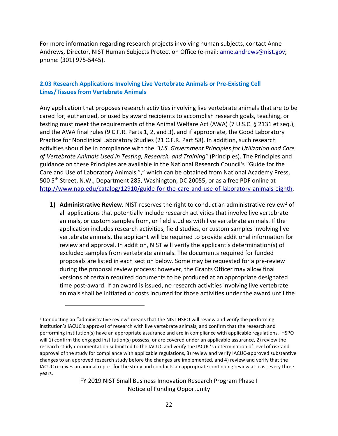For more information regarding research projects involving human subjects, contact Anne Andrews, Director, NIST Human Subjects Protection Office (e-mail: [anne.andrews@nist.gov;](mailto:anne.andrews@nist.gov) phone: (301) 975-5445).

### <span id="page-21-0"></span>**2.03 Research Applications Involving Live Vertebrate Animals or Pre-Existing Cell Lines/Tissues from Vertebrate Animals**

Any application that proposes research activities involving live vertebrate animals that are to be cared for, euthanized, or used by award recipients to accomplish research goals, teaching, or testing must meet the requirements of the Animal Welfare Act (AWA) (7 U.S.C. § 2131 et seq.), and the AWA final rules (9 C.F.R. Parts 1, 2, and 3), and if appropriate, the Good Laboratory Practice for Nonclinical Laboratory Studies (21 C.F.R. Part 58). In addition, such research activities should be in compliance with the *"U.S. Government Principles for Utilization and Care of Vertebrate Animals Used in Testing, Research, and Training"* (Principles). The Principles and guidance on these Principles are available in the National Research Council's "Guide for the Care and Use of Laboratory Animals,"," which can be obtained from National Academy Press, 500 5<sup>th</sup> Street, N.W., Department 285, Washington, DC 20055, or as a free PDF online at [http://www.nap.edu/catalog/12910/guide-for-the-care-and-use-of-laboratory-animals-eighth.](http://www.nap.edu/catalog/12910/guide-for-the-care-and-use-of-laboratory-animals-eighth)

**1) Administrative Review.** NIST reserves the right to conduct an administrative review<sup>2</sup> of all applications that potentially include research activities that involve live vertebrate animals, or custom samples from, or field studies with live vertebrate animals. If the application includes research activities, field studies, or custom samples involving live vertebrate animals, the applicant will be required to provide additional information for review and approval. In addition, NIST will verify the applicant's determination(s) of excluded samples from vertebrate animals. The documents required for funded proposals are listed in each section below. Some may be requested for a pre-review during the proposal review process; however, the Grants Officer may allow final versions of certain required documents to be produced at an appropriate designated time post-award. If an award is issued, no research activities involving live vertebrate animals shall be initiated or costs incurred for those activities under the award until the

 $\overline{a}$ 

<span id="page-21-1"></span> $2$  Conducting an "administrative review" means that the NIST HSPO will review and verify the performing institution's IACUC's approval of research with live vertebrate animals, and confirm that the research and performing institution(s) have an appropriate assurance and are in compliance with applicable regulations. HSPO will 1) confirm the engaged institution(s) possess, or are covered under an applicable assurance, 2) review the research study documentation submitted to the IACUC and verify the IACUC's determination of level of risk and approval of the study for compliance with applicable regulations, 3) review and verify IACUC-approved substantive changes to an approved research study before the changes are implemented, and 4) review and verify that the IACUC receives an annual report for the study and conducts an appropriate continuing review at least every three years.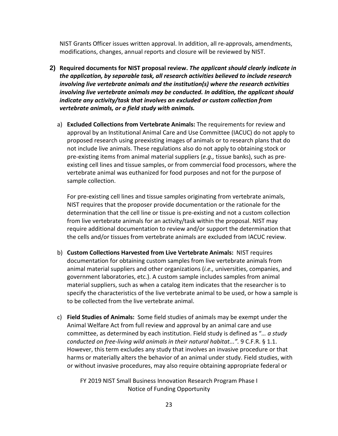NIST Grants Officer issues written approval. In addition, all re-approvals, amendments, modifications, changes, annual reports and closure will be reviewed by NIST.

- **2) Required documents for NIST proposal review.** *The applicant should clearly indicate in the application, by separable task, all research activities believed to include research involving live vertebrate animals and the institution(s) where the research activities involving live vertebrate animals may be conducted. In addition, the applicant should indicate any activity/task that involves an excluded or custom collection from vertebrate animals, or a field study with animals.*
	- a) **Excluded Collections from Vertebrate Animals:** The requirements for review and approval by an Institutional Animal Care and Use Committee (IACUC) do not apply to proposed research using preexisting images of animals or to research plans that do not include live animals. These regulations also do not apply to obtaining stock or pre-existing items from animal material suppliers (*e.g.,* tissue banks), such as preexisting cell lines and tissue samples, or from commercial food processors, where the vertebrate animal was euthanized for food purposes and not for the purpose of sample collection.

For pre-existing cell lines and tissue samples originating from vertebrate animals, NIST requires that the proposer provide documentation or the rationale for the determination that the cell line or tissue is pre-existing and not a custom collection from live vertebrate animals for an activity/task within the proposal. NIST may require additional documentation to review and/or support the determination that the cells and/or tissues from vertebrate animals are excluded from IACUC review.

- b) **Custom Collections Harvested from Live Vertebrate Animals:** NIST requires documentation for obtaining custom samples from live vertebrate animals from animal material suppliers and other organizations (*i.e.,* universities, companies, and government laboratories, etc.). A custom sample includes samples from animal material suppliers, such as when a catalog item indicates that the researcher is to specify the characteristics of the live vertebrate animal to be used, or how a sample is to be collected from the live vertebrate animal.
- c) **Field Studies of Animals:** Some field studies of animals may be exempt under the Animal Welfare Act from full review and approval by an animal care and use committee, as determined by each institution. Field study is defined as "*… a study conducted on free-living wild animals in their natural habitat...".* 9 C.F.R. § 1.1. However, this term excludes any study that involves an invasive procedure or that harms or materially alters the behavior of an animal under study. Field studies, with or without invasive procedures, may also require obtaining appropriate federal or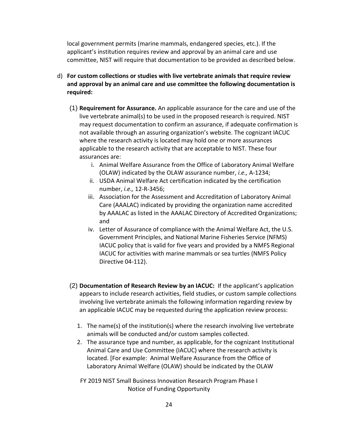local government permits (marine mammals, endangered species, etc.). If the applicant's institution requires review and approval by an animal care and use committee, NIST will require that documentation to be provided as described below.

- d) **For custom collections or studies with live vertebrate animals that require review and approval by an animal care and use committee the following documentation is required:**
	- (1) **Requirement for Assurance.** An applicable assurance for the care and use of the live vertebrate animal(s) to be used in the proposed research is required. NIST may request documentation to confirm an assurance, if adequate confirmation is not available through an assuring organization's website. The cognizant IACUC where the research activity is located may hold one or more assurances applicable to the research activity that are acceptable to NIST. These four assurances are:
		- i. Animal Welfare Assurance from the Office of Laboratory Animal Welfare (OLAW) indicated by the OLAW assurance number, *i.e.,* A-1234;
		- ii. USDA Animal Welfare Act certification indicated by the certification number, *i.e.,* 12-R-3456;
		- iii. Association for the Assessment and Accreditation of Laboratory Animal Care (AAALAC) indicated by providing the organization name accredited by AAALAC as listed in the AAALAC Directory of Accredited Organizations; and
		- iv. Letter of Assurance of compliance with the Animal Welfare Act, the U.S. Government Principles, and National Marine Fisheries Service (NFMS) IACUC policy that is valid for five years and provided by a NMFS Regional IACUC for activities with marine mammals or sea turtles (NMFS Policy Directive 04-112).
	- (2) **Documentation of Research Review by an IACUC:** If the applicant's application appears to include research activities, field studies, or custom sample collections involving live vertebrate animals the following information regarding review by an applicable IACUC may be requested during the application review process:
		- 1. The name(s) of the institution(s) where the research involving live vertebrate animals will be conducted and/or custom samples collected.
		- 2. The assurance type and number, as applicable, for the cognizant Institutional Animal Care and Use Committee (IACUC) where the research activity is located. [For example: Animal Welfare Assurance from the Office of Laboratory Animal Welfare (OLAW) should be indicated by the OLAW
		- FY 2019 NIST Small Business Innovation Research Program Phase I Notice of Funding Opportunity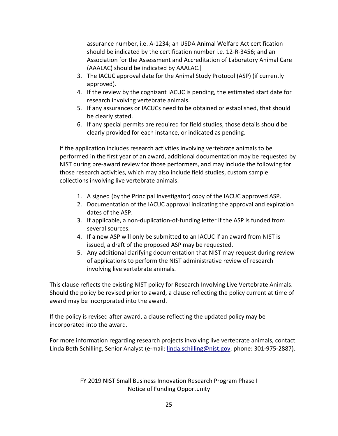assurance number, i.e. A-1234; an USDA Animal Welfare Act certification should be indicated by the certification number i.e. 12-R-3456; and an Association for the Assessment and Accreditation of Laboratory Animal Care (AAALAC) should be indicated by AAALAC.]

- 3. The IACUC approval date for the Animal Study Protocol (ASP) (if currently approved).
- 4. If the review by the cognizant IACUC is pending, the estimated start date for research involving vertebrate animals.
- 5. If any assurances or IACUCs need to be obtained or established, that should be clearly stated.
- 6. If any special permits are required for field studies, those details should be clearly provided for each instance, or indicated as pending.

If the application includes research activities involving vertebrate animals to be performed in the first year of an award, additional documentation may be requested by NIST during pre-award review for those performers, and may include the following for those research activities, which may also include field studies, custom sample collections involving live vertebrate animals:

- 1. A signed (by the Principal Investigator) copy of the IACUC approved ASP.
- 2. Documentation of the IACUC approval indicating the approval and expiration dates of the ASP.
- 3. If applicable, a non-duplication-of-funding letter if the ASP is funded from several sources.
- 4. If a new ASP will only be submitted to an IACUC if an award from NIST is issued, a draft of the proposed ASP may be requested.
- 5. Any additional clarifying documentation that NIST may request during review of applications to perform the NIST administrative review of research involving live vertebrate animals.

This clause reflects the existing NIST policy for Research Involving Live Vertebrate Animals. Should the policy be revised prior to award, a clause reflecting the policy current at time of award may be incorporated into the award.

If the policy is revised after award, a clause reflecting the updated policy may be incorporated into the award.

For more information regarding research projects involving live vertebrate animals, contact Linda Beth Schilling, Senior Analyst (e-mail: [linda.schilling@nist.gov;](mailto:linda.schilling@nist.gov) phone: 301-975-2887).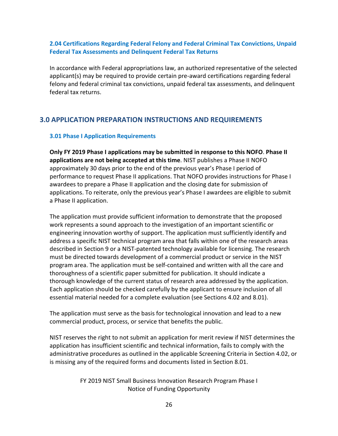### <span id="page-25-0"></span>**2.04 Certifications Regarding Federal Felony and Federal Criminal Tax Convictions, Unpaid Federal Tax Assessments and Delinquent Federal Tax Returns**

In accordance with Federal appropriations law, an authorized representative of the selected applicant(s) may be required to provide certain pre-award certifications regarding federal felony and federal criminal tax convictions, unpaid federal tax assessments, and delinquent federal tax returns.

### <span id="page-25-1"></span>**3.0 APPLICATION PREPARATION INSTRUCTIONS AND REQUIREMENTS**

### <span id="page-25-2"></span>**3.01 Phase I Application Requirements**

**Only FY 2019 Phase I applications may be submitted in response to this NOFO**. **Phase II applications are not being accepted at this time**. NIST publishes a Phase II NOFO approximately 30 days prior to the end of the previous year's Phase I period of performance to request Phase II applications. That NOFO provides instructions for Phase I awardees to prepare a Phase II application and the closing date for submission of applications. To reiterate, only the previous year's Phase I awardees are eligible to submit a Phase II application.

The application must provide sufficient information to demonstrate that the proposed work represents a sound approach to the investigation of an important scientific or engineering innovation worthy of support. The application must sufficiently identify and address a specific NIST technical program area that falls within one of the research areas described in Section 9 or a NIST-patented technology available for licensing. The research must be directed towards development of a commercial product or service in the NIST program area. The application must be self-contained and written with all the care and thoroughness of a scientific paper submitted for publication. It should indicate a thorough knowledge of the current status of research area addressed by the application. Each application should be checked carefully by the applicant to ensure inclusion of all essential material needed for a complete evaluation (see Sections 4.02 and 8.01).

The application must serve as the basis for technological innovation and lead to a new commercial product, process, or service that benefits the public.

NIST reserves the right to not submit an application for merit review if NIST determines the application has insufficient scientific and technical information, fails to comply with the administrative procedures as outlined in the applicable Screening Criteria in Section 4.02, or is missing any of the required forms and documents listed in Section 8.01.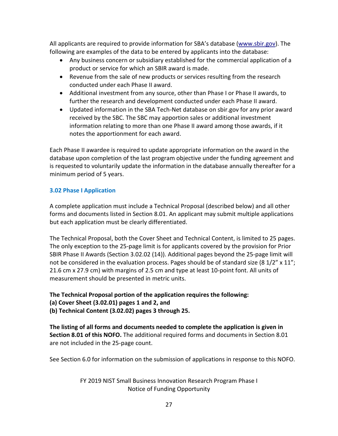All applicants are required to provide information for SBA's database [\(www.sbir.gov\)](http://www.sbir.gov/). The following are examples of the data to be entered by applicants into the database:

- Any business concern or subsidiary established for the commercial application of a product or service for which an SBIR award is made.
- Revenue from the sale of new products or services resulting from the research conducted under each Phase II award.
- Additional investment from any source, other than Phase I or Phase II awards, to further the research and development conducted under each Phase II award.
- Updated information in the SBA Tech-Net database on sbir.gov for any prior award received by the SBC. The SBC may apportion sales or additional investment information relating to more than one Phase II award among those awards, if it notes the apportionment for each award.

Each Phase II awardee is required to update appropriate information on the award in the database upon completion of the last program objective under the funding agreement and is requested to voluntarily update the information in the database annually thereafter for a minimum period of 5 years.

### <span id="page-26-0"></span>**3.02 Phase I Application**

A complete application must include a Technical Proposal (described below) and all other forms and documents listed in Section 8.01. An applicant may submit multiple applications but each application must be clearly differentiated.

The Technical Proposal, both the Cover Sheet and Technical Content, is limited to 25 pages. The only exception to the 25-page limit is for applicants covered by the provision for Prior SBIR Phase II Awards (Section 3.02.02 (14)). Additional pages beyond the 25-page limit will not be considered in the evaluation process. Pages should be of standard size (8  $1/2$ " x  $11$ "; 21.6 cm x 27.9 cm) with margins of 2.5 cm and type at least 10-point font. All units of measurement should be presented in metric units.

## **The Technical Proposal portion of the application requires the following:**

**(a) Cover Sheet (3.02.01) pages 1 and 2, and**

**(b) Technical Content (3.02.02) pages 3 through 25.**

**The listing of all forms and documents needed to complete the application is given in Section 8.01 of this NOFO.** The additional required forms and documents in Section 8.01 are not included in the 25-page count.

See Section 6.0 for information on the submission of applications in response to this NOFO.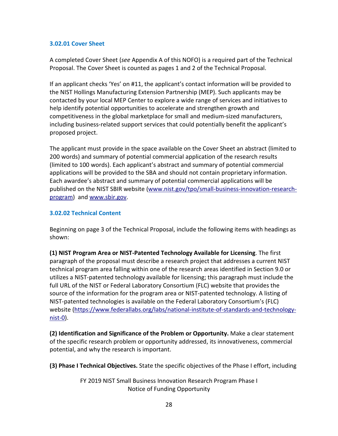### **3.02.01 Cover Sheet**

A completed Cover Sheet (*see* Appendix A of this NOFO) is a required part of the Technical Proposal. The Cover Sheet is counted as pages 1 and 2 of the Technical Proposal.

If an applicant checks 'Yes' on #11, the applicant's contact information will be provided to the NIST Hollings Manufacturing Extension Partnership (MEP). Such applicants may be contacted by your local MEP Center to explore a wide range of services and initiatives to help identify potential opportunities to accelerate and strengthen growth and competitiveness in the global marketplace for small and medium-sized manufacturers, including business-related support services that could potentially benefit the applicant's proposed project.

The applicant must provide in the space available on the Cover Sheet an abstract (limited to 200 words) and summary of potential commercial application of the research results (limited to 100 words). Each applicant's abstract and summary of potential commercial applications will be provided to the SBA and should not contain proprietary information. Each awardee's abstract and summary of potential commercial applications will be published on the NIST SBIR website [\(www.nist.gov/tpo/small-business-innovation-research](http://www.nist.gov/tpo/small-business-innovation-research-program)[program\)](http://www.nist.gov/tpo/small-business-innovation-research-program) and [www.sbir.gov.](http://www.sbir.gov/)

### **3.02.02 Technical Content**

Beginning on page 3 of the Technical Proposal, include the following items with headings as shown:

**(1) NIST Program Area or NIST-Patented Technology Available for Licensing**. The first paragraph of the proposal must describe a research project that addresses a current NIST technical program area falling within one of the research areas identified in Section 9.0 or utilizes a NIST-patented technology available for licensing; this paragraph must include the full URL of the NIST or Federal Laboratory Consortium (FLC) website that provides the source of the information for the program area or NIST-patented technology. A listing of NIST-patented technologies is available on the Federal Laboratory Consortium's (FLC) website [\(https://www.federallabs.org/labs/national-institute-of-standards-and-technology](https://www.federallabs.org/labs/national-institute-of-standards-and-technology-nist-0)[nist-0\)](https://www.federallabs.org/labs/national-institute-of-standards-and-technology-nist-0).

**(2) Identification and Significance of the Problem or Opportunity.** Make a clear statement of the specific research problem or opportunity addressed, its innovativeness, commercial potential, and why the research is important.

**(3) Phase I Technical Objectives.** State the specific objectives of the Phase I effort, including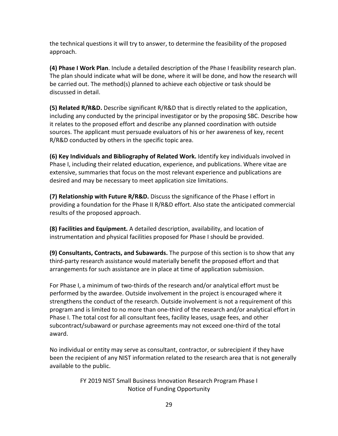the technical questions it will try to answer, to determine the feasibility of the proposed approach.

**(4) Phase I Work Plan**. Include a detailed description of the Phase I feasibility research plan. The plan should indicate what will be done, where it will be done, and how the research will be carried out. The method(s) planned to achieve each objective or task should be discussed in detail.

**(5) Related R/R&D.** Describe significant R/R&D that is directly related to the application, including any conducted by the principal investigator or by the proposing SBC. Describe how it relates to the proposed effort and describe any planned coordination with outside sources. The applicant must persuade evaluators of his or her awareness of key, recent R/R&D conducted by others in the specific topic area.

**(6) Key Individuals and Bibliography of Related Work.** Identify key individuals involved in Phase I, including their related education, experience, and publications. Where vitae are extensive, summaries that focus on the most relevant experience and publications are desired and may be necessary to meet application size limitations.

**(7) Relationship with Future R/R&D.** Discuss the significance of the Phase I effort in providing a foundation for the Phase II R/R&D effort. Also state the anticipated commercial results of the proposed approach.

**(8) Facilities and Equipment.** A detailed description, availability, and location of instrumentation and physical facilities proposed for Phase I should be provided.

**(9) Consultants, Contracts, and Subawards.** The purpose of this section is to show that any third-party research assistance would materially benefit the proposed effort and that arrangements for such assistance are in place at time of application submission.

For Phase I, a minimum of two-thirds of the research and/or analytical effort must be performed by the awardee. Outside involvement in the project is encouraged where it strengthens the conduct of the research. Outside involvement is not a requirement of this program and is limited to no more than one-third of the research and/or analytical effort in Phase I. The total cost for all consultant fees, facility leases, usage fees, and other subcontract/subaward or purchase agreements may not exceed one-third of the total award.

No individual or entity may serve as consultant, contractor, or subrecipient if they have been the recipient of any NIST information related to the research area that is not generally available to the public.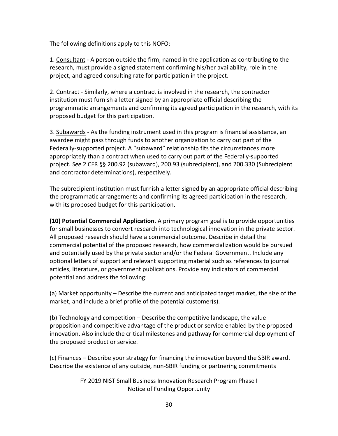The following definitions apply to this NOFO:

1. Consultant - A person outside the firm, named in the application as contributing to the research, must provide a signed statement confirming his/her availability, role in the project, and agreed consulting rate for participation in the project.

2. Contract - Similarly, where a contract is involved in the research, the contractor institution must furnish a letter signed by an appropriate official describing the programmatic arrangements and confirming its agreed participation in the research, with its proposed budget for this participation.

3. Subawards - As the funding instrument used in this program is financial assistance, an awardee might pass through funds to another organization to carry out part of the Federally-supported project. A "subaward" relationship fits the circumstances more appropriately than a contract when used to carry out part of the Federally-supported project. *See* 2 CFR §§ 200.92 (subaward), 200.93 (subrecipient), and 200.330 (Subrecipient and contractor determinations), respectively.

The subrecipient institution must furnish a letter signed by an appropriate official describing the programmatic arrangements and confirming its agreed participation in the research, with its proposed budget for this participation.

**(10) Potential Commercial Application.** A primary program goal is to provide opportunities for small businesses to convert research into technological innovation in the private sector. All proposed research should have a commercial outcome. Describe in detail the commercial potential of the proposed research, how commercialization would be pursued and potentially used by the private sector and/or the Federal Government. Include any optional letters of support and relevant supporting material such as references to journal articles, literature, or government publications. Provide any indicators of commercial potential and address the following:

(a) Market opportunity – Describe the current and anticipated target market, the size of the market, and include a brief profile of the potential customer(s).

(b) Technology and competition – Describe the competitive landscape, the value proposition and competitive advantage of the product or service enabled by the proposed innovation. Also include the critical milestones and pathway for commercial deployment of the proposed product or service.

(c) Finances – Describe your strategy for financing the innovation beyond the SBIR award. Describe the existence of any outside, non-SBIR funding or partnering commitments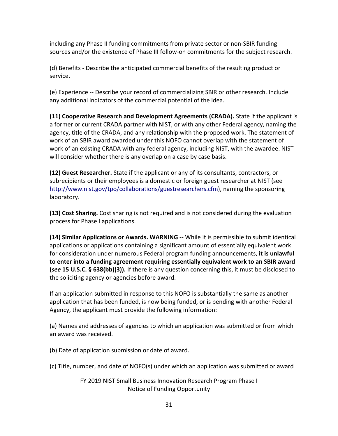including any Phase II funding commitments from private sector or non-SBIR funding sources and/or the existence of Phase III follow-on commitments for the subject research.

(d) Benefits - Describe the anticipated commercial benefits of the resulting product or service.

(e) Experience -- Describe your record of commercializing SBIR or other research. Include any additional indicators of the commercial potential of the idea.

**(11) Cooperative Research and Development Agreements (CRADA).** State if the applicant is a former or current CRADA partner with NIST, or with any other Federal agency, naming the agency, title of the CRADA, and any relationship with the proposed work. The statement of work of an SBIR award awarded under this NOFO cannot overlap with the statement of work of an existing CRADA with any federal agency, including NIST, with the awardee. NIST will consider whether there is any overlap on a case by case basis.

**(12) Guest Researcher.** State if the applicant or any of its consultants, contractors, or subrecipients or their employees is a domestic or foreign guest researcher at NIST (see [http://www.nist.gov/tpo/collaborations/guestresearchers.cfm\)](http://www.nist.gov/tpo/collaborations/guestresearchers.cfm), naming the sponsoring laboratory.

**(13) Cost Sharing.** Cost sharing is not required and is not considered during the evaluation process for Phase I applications.

**(14) Similar Applications or Awards. WARNING --** While it is permissible to submit identical applications or applications containing a significant amount of essentially equivalent work for consideration under numerous Federal program funding announcements, **it is unlawful to enter into a funding agreement requiring essentially equivalent work to an SBIR award (***see* **15 U.S.C. § 638(bb)(3)).** If there is any question concerning this, it must be disclosed to the soliciting agency or agencies before award.

If an application submitted in response to this NOFO is substantially the same as another application that has been funded, is now being funded, or is pending with another Federal Agency, the applicant must provide the following information:

(a) Names and addresses of agencies to which an application was submitted or from which an award was received.

(b) Date of application submission or date of award.

(c) Title, number, and date of NOFO(s) under which an application was submitted or award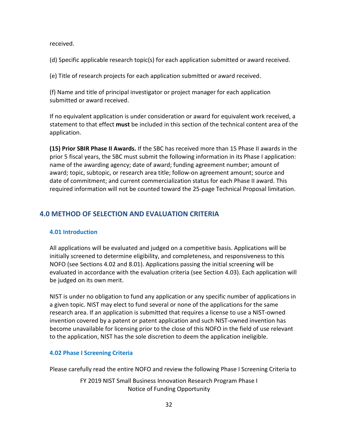received.

(d) Specific applicable research topic(s) for each application submitted or award received.

(e) Title of research projects for each application submitted or award received.

(f) Name and title of principal investigator or project manager for each application submitted or award received.

If no equivalent application is under consideration or award for equivalent work received, a statement to that effect **must** be included in this section of the technical content area of the application.

**(15) Prior SBIR Phase II Awards.** If the SBC has received more than 15 Phase II awards in the prior 5 fiscal years, the SBC must submit the following information in its Phase I application: name of the awarding agency; date of award; funding agreement number; amount of award; topic, subtopic, or research area title; follow-on agreement amount; source and date of commitment; and current commercialization status for each Phase II award. This required information will not be counted toward the 25-page Technical Proposal limitation.

## <span id="page-31-0"></span>**4.0 METHOD OF SELECTION AND EVALUATION CRITERIA**

### <span id="page-31-1"></span>**4.01 Introduction**

All applications will be evaluated and judged on a competitive basis. Applications will be initially screened to determine eligibility, and completeness, and responsiveness to this NOFO (see Sections 4.02 and 8.01). Applications passing the initial screening will be evaluated in accordance with the evaluation criteria (see Section 4.03). Each application will be judged on its own merit.

NIST is under no obligation to fund any application or any specific number of applications in a given topic. NIST may elect to fund several or none of the applications for the same research area. If an application is submitted that requires a license to use a NIST-owned invention covered by a patent or patent application and such NIST-owned invention has become unavailable for licensing prior to the close of this NOFO in the field of use relevant to the application, NIST has the sole discretion to deem the application ineligible.

### <span id="page-31-2"></span>**4.02 Phase I Screening Criteria**

Please carefully read the entire NOFO and review the following Phase I Screening Criteria to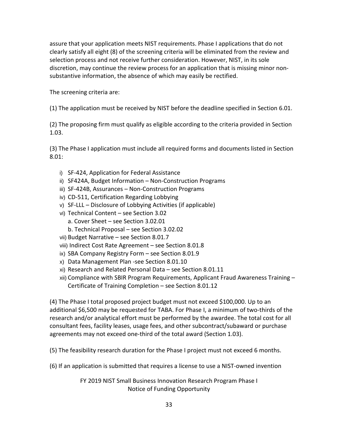assure that your application meets NIST requirements. Phase I applications that do not clearly satisfy all eight (8) of the screening criteria will be eliminated from the review and selection process and not receive further consideration. However, NIST, in its sole discretion, may continue the review process for an application that is missing minor nonsubstantive information, the absence of which may easily be rectified.

The screening criteria are:

(1) The application must be received by NIST before the deadline specified in Section 6.01.

(2) The proposing firm must qualify as eligible according to the criteria provided in Section 1.03.

(3) The Phase I application must include all required forms and documents listed in Section 8.01:

- i) SF-424, Application for Federal Assistance
- ii) SF424A, Budget Information Non-Construction Programs
- iii) SF-424B, Assurances Non-Construction Programs
- iv) CD-511, Certification Regarding Lobbying
- v) SF-LLL Disclosure of Lobbying Activities (if applicable)
- vi) Technical Content see Section 3.02
	- a. Cover Sheet see Section 3.02.01
	- b. Technical Proposal see Section 3.02.02
- vii) Budget Narrative see Section 8.01.7
- viii) Indirect Cost Rate Agreement see Section 8.01.8
- ix) SBA Company Registry Form see Section 8.01.9
- x) Data Management Plan -see Section 8.01.10
- xi) Research and Related Personal Data see Section 8.01.11
- xii) Compliance with SBIR Program Requirements, Applicant Fraud Awareness Training Certificate of Training Completion – see Section 8.01.12

(4) The Phase I total proposed project budget must not exceed \$100,000. Up to an additional \$6,500 may be requested for TABA. For Phase I, a minimum of two-thirds of the research and/or analytical effort must be performed by the awardee. The total cost for all consultant fees, facility leases, usage fees, and other subcontract/subaward or purchase agreements may not exceed one-third of the total award (Section 1.03).

(5) The feasibility research duration for the Phase I project must not exceed 6 months.

(6) If an application is submitted that requires a license to use a NIST-owned invention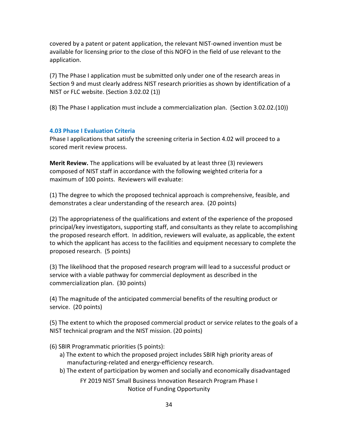covered by a patent or patent application, the relevant NIST-owned invention must be available for licensing prior to the close of this NOFO in the field of use relevant to the application.

(7) The Phase I application must be submitted only under one of the research areas in Section 9 and must clearly address NIST research priorities as shown by identification of a NIST or FLC website. (Section 3.02.02 (1))

(8) The Phase I application must include a commercialization plan. (Section 3.02.02.(10))

### <span id="page-33-0"></span>**4.03 Phase I Evaluation Criteria**

Phase I applications that satisfy the screening criteria in Section 4.02 will proceed to a scored merit review process.

**Merit Review.** The applications will be evaluated by at least three (3) reviewers composed of NIST staff in accordance with the following weighted criteria for a maximum of 100 points. Reviewers will evaluate:

(1) The degree to which the proposed technical approach is comprehensive, feasible, and demonstrates a clear understanding of the research area. (20 points)

(2) The appropriateness of the qualifications and extent of the experience of the proposed principal/key investigators, supporting staff, and consultants as they relate to accomplishing the proposed research effort. In addition, reviewers will evaluate, as applicable, the extent to which the applicant has access to the facilities and equipment necessary to complete the proposed research. (5 points)

(3) The likelihood that the proposed research program will lead to a successful product or service with a viable pathway for commercial deployment as described in the commercialization plan. (30 points)

(4) The magnitude of the anticipated commercial benefits of the resulting product or service. (20 points)

(5) The extent to which the proposed commercial product or service relates to the goals of a NIST technical program and the NIST mission. (20 points)

(6) SBIR Programmatic priorities (5 points):

- a) The extent to which the proposed project includes SBIR high priority areas of manufacturing-related and energy-efficiency research.
- b) The extent of participation by women and socially and economically disadvantaged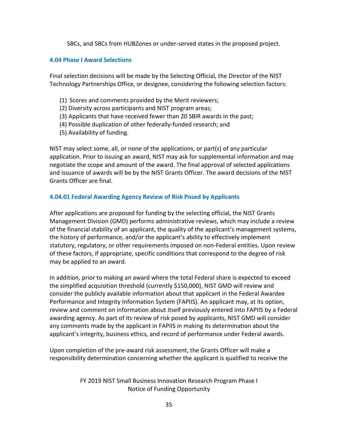SBCs, and SBCs from HUBZones or under-served states in the proposed project.

#### <span id="page-34-0"></span>**4.04 Phase I Award Selections**

Final selection decisions will be made by the Selecting Official, the Director of the NIST Technology Partnerships Office, or designee, considering the following selection factors:

- (1) Scores and comments provided by the Merit reviewers;
- (2) Diversity across participants and NIST program areas;
- (3) Applicants that have received fewer than 20 SBIR awards in the past;
- (4) Possible duplication of other federally-funded research; and
- (5) Availability of funding.

NIST may select some, all, or none of the applications, or part(s) of any particular application. Prior to issuing an award, NIST may ask for supplemental information and may negotiate the scope and amount of the award. The final approval of selected applications and issuance of awards will be by the NIST Grants Officer. The award decisions of the NIST Grants Officer are final.

### **4.04.01 Federal Awarding Agency Review of Risk Posed by Applicants**

After applications are proposed for funding by the selecting official, the NIST Grants Management Division (GMD) performs administrative reviews, which may include a review of the financial stability of an applicant, the quality of the applicant's management systems, the history of performance, and/or the applicant's ability to effectively implement statutory, regulatory, or other requirements imposed on non-Federal entities. Upon review of these factors, if appropriate, specific conditions that correspond to the degree of risk may be applied to an award.

In addition, prior to making an award where the total Federal share is expected to exceed the simplified acquisition threshold (currently \$150,000), NIST GMD will review and consider the publicly available information about that applicant in the Federal Awardee Performance and Integrity Information System (FAPIIS). An applicant may, at its option, review and comment on information about itself previously entered into FAPIIS by a Federal awarding agency. As part of its review of risk posed by applicants, NIST GMD will consider any comments made by the applicant in FAPIIS in making its determination about the applicant's integrity, business ethics, and record of performance under Federal awards.

Upon completion of the pre-award risk assessment, the Grants Officer will make a responsibility determination concerning whether the applicant is qualified to receive the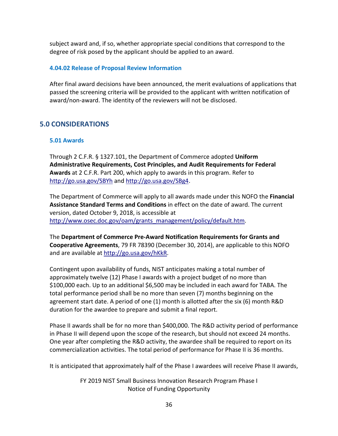subject award and, if so, whether appropriate special conditions that correspond to the degree of risk posed by the applicant should be applied to an award.

#### **4.04.02 Release of Proposal Review Information**

After final award decisions have been announced, the merit evaluations of applications that passed the screening criteria will be provided to the applicant with written notification of award/non-award. The identity of the reviewers will not be disclosed.

### <span id="page-35-0"></span>**5.0 CONSIDERATIONS**

#### <span id="page-35-1"></span>**5.01 Awards**

Through 2 C.F.R. § 1327.101, the Department of Commerce adopted **Uniform Administrative Requirements, Cost Principles, and Audit Requirements for Federal Awards** at 2 C.F.R. Part 200, which apply to awards in this program. Refer to <http://go.usa.gov/SBYh> and<http://go.usa.gov/SBg4>.

The Department of Commerce will apply to all awards made under this NOFO the **Financial Assistance Standard Terms and Conditions** in effect on the date of award. The current version, dated October 9, 2018, is accessible at [http://www.osec.doc.gov/oam/grants\\_management/policy/default.htm.](http://www.osec.doc.gov/oam/grants_management/policy/default.htm)

The **Department of Commerce Pre-Award Notification Requirements for Grants and Cooperative Agreements**, 79 FR 78390 (December 30, 2014), are applicable to this NOFO and are available at [http://go.usa.gov/hKkR.](http://go.usa.gov/hKkR)

Contingent upon availability of funds, NIST anticipates making a total number of approximately twelve (12) Phase I awards with a project budget of no more than \$100,000 each. Up to an additional \$6,500 may be included in each award for TABA. The total performance period shall be no more than seven (7) months beginning on the agreement start date. A period of one (1) month is allotted after the six (6) month R&D duration for the awardee to prepare and submit a final report.

Phase II awards shall be for no more than \$400,000. The R&D activity period of performance in Phase II will depend upon the scope of the research, but should not exceed 24 months. One year after completing the R&D activity, the awardee shall be required to report on its commercialization activities. The total period of performance for Phase II is 36 months.

It is anticipated that approximately half of the Phase I awardees will receive Phase II awards,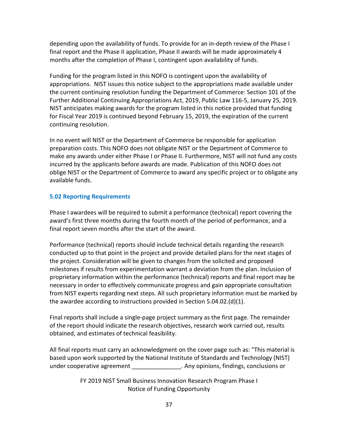depending upon the availability of funds. To provide for an in-depth review of the Phase I final report and the Phase II application, Phase II awards will be made approximately 4 months after the completion of Phase I, contingent upon availability of funds.

Funding for the program listed in this NOFO is contingent upon the availability of appropriations. NIST issues this notice subject to the appropriations made available under the current continuing resolution funding the Department of Commerce: Section 101 of the Further Additional Continuing Appropriations Act, 2019, Public Law 116-5, January 25, 2019. NIST anticipates making awards for the program listed in this notice provided that funding for Fiscal Year 2019 is continued beyond February 15, 2019, the expiration of the current continuing resolution.

In no event will NIST or the Department of Commerce be responsible for application preparation costs. This NOFO does not obligate NIST or the Department of Commerce to make any awards under either Phase I or Phase II. Furthermore, NIST will not fund any costs incurred by the applicants before awards are made. Publication of this NOFO does not oblige NIST or the Department of Commerce to award any specific project or to obligate any available funds.

### <span id="page-36-0"></span>**5.02 Reporting Requirements**

Phase I awardees will be required to submit a performance (technical) report covering the award's first three months during the fourth month of the period of performance, and a final report seven months after the start of the award.

Performance (technical) reports should include technical details regarding the research conducted up to that point in the project and provide detailed plans for the next stages of the project. Consideration will be given to changes from the solicited and proposed milestones if results from experimentation warrant a deviation from the plan. Inclusion of proprietary information within the performance (technical) reports and final report may be necessary in order to effectively communicate progress and gain appropriate consultation from NIST experts regarding next steps. All such proprietary information must be marked by the awardee according to instructions provided in Section 5.04.02.(d)(1).

Final reports shall include a single-page project summary as the first page. The remainder of the report should indicate the research objectives, research work carried out, results obtained, and estimates of technical feasibility.

All final reports must carry an acknowledgment on the cover page such as: "This material is based upon work supported by the National Institute of Standards and Technology (NIST) under cooperative agreement \_\_\_\_\_\_\_\_\_\_\_\_\_\_\_\_\_. Any opinions, findings, conclusions or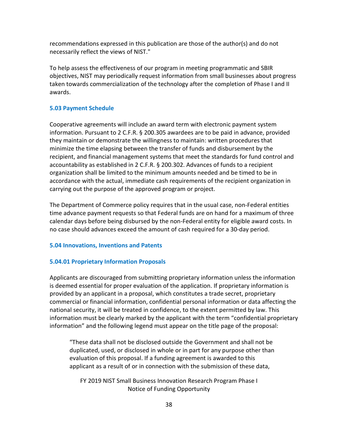recommendations expressed in this publication are those of the author(s) and do not necessarily reflect the views of NIST."

To help assess the effectiveness of our program in meeting programmatic and SBIR objectives, NIST may periodically request information from small businesses about progress taken towards commercialization of the technology after the completion of Phase I and II awards.

#### <span id="page-37-0"></span>**5.03 Payment Schedule**

Cooperative agreements will include an award term with electronic payment system information. Pursuant to 2 C.F.R. § 200.305 awardees are to be paid in advance, provided they maintain or demonstrate the willingness to maintain: written procedures that minimize the time elapsing between the transfer of funds and disbursement by the recipient, and financial management systems that meet the standards for fund control and accountability as established in 2 C.F.R. § 200.302. Advances of funds to a recipient organization shall be limited to the minimum amounts needed and be timed to be in accordance with the actual, immediate cash requirements of the recipient organization in carrying out the purpose of the approved program or project.

The Department of Commerce policy requires that in the usual case, non-Federal entities time advance payment requests so that Federal funds are on hand for a maximum of three calendar days before being disbursed by the non-Federal entity for eligible award costs. In no case should advances exceed the amount of cash required for a 30-day period.

### <span id="page-37-1"></span>**5.04 Innovations, Inventions and Patents**

### **5.04.01 Proprietary Information Proposals**

Applicants are discouraged from submitting proprietary information unless the information is deemed essential for proper evaluation of the application. If proprietary information is provided by an applicant in a proposal, which constitutes a trade secret, proprietary commercial or financial information, confidential personal information or data affecting the national security, it will be treated in confidence, to the extent permitted by law. This information must be clearly marked by the applicant with the term "confidential proprietary information" and the following legend must appear on the title page of the proposal:

"These data shall not be disclosed outside the Government and shall not be duplicated, used, or disclosed in whole or in part for any purpose other than evaluation of this proposal. If a funding agreement is awarded to this applicant as a result of or in connection with the submission of these data,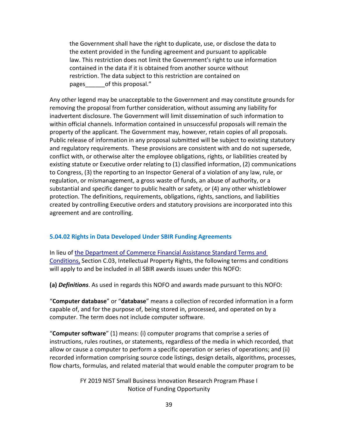the Government shall have the right to duplicate, use, or disclose the data to the extent provided in the funding agreement and pursuant to applicable law. This restriction does not limit the Government's right to use information contained in the data if it is obtained from another source without restriction. The data subject to this restriction are contained on pages of this proposal."

Any other legend may be unacceptable to the Government and may constitute grounds for removing the proposal from further consideration, without assuming any liability for inadvertent disclosure. The Government will limit dissemination of such information to within official channels. Information contained in unsuccessful proposals will remain the property of the applicant. The Government may, however, retain copies of all proposals. Public release of information in any proposal submitted will be subject to existing statutory and regulatory requirements. These provisions are consistent with and do not supersede, conflict with, or otherwise alter the employee obligations, rights, or liabilities created by existing statute or Executive order relating to (1) classified information, (2) communications to Congress, (3) the reporting to an Inspector General of a violation of any law, rule, or regulation, or mismanagement, a gross waste of funds, an abuse of authority, or a substantial and specific danger to public health or safety, or (4) any other whistleblower protection. The definitions, requirements, obligations, rights, sanctions, and liabilities created by controlling Executive orders and statutory provisions are incorporated into this agreement and are controlling.

#### **5.04.02 Rights in Data Developed Under SBIR Funding Agreements**

In lieu of [the Department of Commerce Financial Assistance Standard Terms and](http://www.osec.doc.gov/oam/grants_management/policy/documents/Department%20of%20Commerce%20Standard%20Terms%20&%20Conditions%2009%20October%202018.pdf)  [Conditions,](http://www.osec.doc.gov/oam/grants_management/policy/documents/Department%20of%20Commerce%20Standard%20Terms%20&%20Conditions%2009%20October%202018.pdf) Section C.03, Intellectual Property Rights, the following terms and conditions will apply to and be included in all SBIR awards issues under this NOFO:

**(a)** *Definitions*. As used in regards this NOFO and awards made pursuant to this NOFO:

"**Computer database**" or "**database**" means a collection of recorded information in a form capable of, and for the purpose of, being stored in, processed, and operated on by a computer. The term does not include computer software.

"**Computer software**" (1) means: (i) computer programs that comprise a series of instructions, rules routines, or statements, regardless of the media in which recorded, that allow or cause a computer to perform a specific operation or series of operations; and (ii) recorded information comprising source code listings, design details, algorithms, processes, flow charts, formulas, and related material that would enable the computer program to be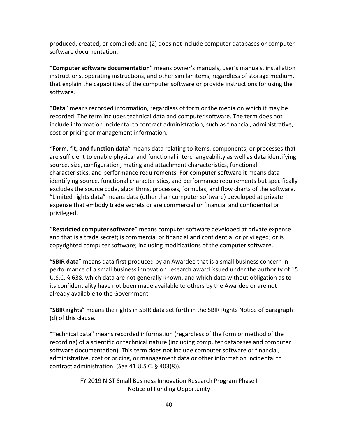produced, created, or compiled; and (2) does not include computer databases or computer software documentation.

"**Computer software documentation**" means owner's manuals, user's manuals, installation instructions, operating instructions, and other similar items, regardless of storage medium, that explain the capabilities of the computer software or provide instructions for using the software.

"**Data**" means recorded information, regardless of form or the media on which it may be recorded. The term includes technical data and computer software. The term does not include information incidental to contract administration, such as financial, administrative, cost or pricing or management information.

*"***Form, fit, and function data**" means data relating to items, components, or processes that are sufficient to enable physical and functional interchangeability as well as data identifying source, size, configuration, mating and attachment characteristics, functional characteristics, and performance requirements. For computer software it means data identifying source, functional characteristics, and performance requirements but specifically excludes the source code, algorithms, processes, formulas, and flow charts of the software. "Limited rights data" means data (other than computer software) developed at private expense that embody trade secrets or are commercial or financial and confidential or privileged.

"**Restricted computer software**" means computer software developed at private expense and that is a trade secret; is commercial or financial and confidential or privileged; or is copyrighted computer software; including modifications of the computer software.

"**SBIR data**" means data first produced by an Awardee that is a small business concern in performance of a small business innovation research award issued under the authority of 15 U.S.C. § 638, which data are not generally known, and which data without obligation as to its confidentiality have not been made available to others by the Awardee or are not already available to the Government.

"**SBIR rights**" means the rights in SBIR data set forth in the SBIR Rights Notice of paragraph (d) of this clause.

"Technical data" means recorded information (regardless of the form or method of the recording) of a scientific or technical nature (including computer databases and computer software documentation). This term does not include computer software or financial, administrative, cost or pricing, or management data or other information incidental to contract administration. (*See* 41 U.S.C. § 403(8)).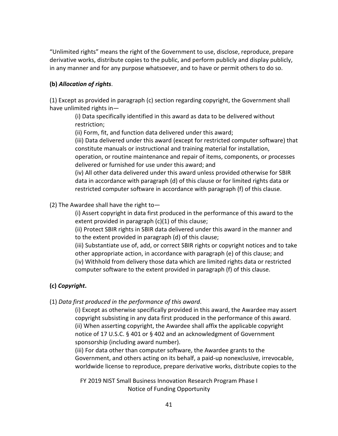"Unlimited rights" means the right of the Government to use, disclose, reproduce, prepare derivative works, distribute copies to the public, and perform publicly and display publicly, in any manner and for any purpose whatsoever, and to have or permit others to do so.

### **(b)** *Allocation of rights*.

(1) Except as provided in paragraph (c) section regarding copyright, the Government shall have unlimited rights in—

> (i) Data specifically identified in this award as data to be delivered without restriction;

(ii) Form, fit, and function data delivered under this award;

(iii) Data delivered under this award (except for restricted computer software) that constitute manuals or instructional and training material for installation,

operation, or routine maintenance and repair of items, components, or processes delivered or furnished for use under this award; and

(iv) All other data delivered under this award unless provided otherwise for SBIR data in accordance with paragraph (d) of this clause or for limited rights data or restricted computer software in accordance with paragraph (f) of this clause.

(2) The Awardee shall have the right to—

(i) Assert copyright in data first produced in the performance of this award to the extent provided in paragraph (c)(1) of this clause;

(ii) Protect SBIR rights in SBIR data delivered under this award in the manner and to the extent provided in paragraph (d) of this clause;

(iii) Substantiate use of, add, or correct SBIR rights or copyright notices and to take other appropriate action, in accordance with paragraph (e) of this clause; and (iv) Withhold from delivery those data which are limited rights data or restricted computer software to the extent provided in paragraph (f) of this clause.

### **(c)** *Copyright***.**

(1) *Data first produced in the performance of this award*.

(i) Except as otherwise specifically provided in this award, the Awardee may assert copyright subsisting in any data first produced in the performance of this award. (ii) When asserting copyright, the Awardee shall affix the applicable copyright notice of 17 U.S.C. § 401 or § 402 and an acknowledgment of Government sponsorship (including award number).

(iii) For data other than computer software, the Awardee grants to the Government, and others acting on its behalf, a paid-up nonexclusive, irrevocable, worldwide license to reproduce, prepare derivative works, distribute copies to the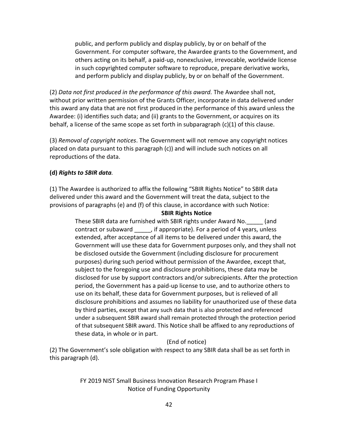public, and perform publicly and display publicly, by or on behalf of the Government. For computer software, the Awardee grants to the Government, and others acting on its behalf, a paid-up, nonexclusive, irrevocable, worldwide license in such copyrighted computer software to reproduce, prepare derivative works, and perform publicly and display publicly, by or on behalf of the Government.

(2) *Data not first produced in the performance of this award.* The Awardee shall not, without prior written permission of the Grants Officer, incorporate in data delivered under this award any data that are not first produced in the performance of this award unless the Awardee: (i) identifies such data; and (ii) grants to the Government, or acquires on its behalf, a license of the same scope as set forth in subparagraph  $(c)(1)$  of this clause.

(3) *Removal of copyright notices*. The Government will not remove any copyright notices placed on data pursuant to this paragraph (c)) and will include such notices on all reproductions of the data.

### **(d)** *Rights to SBIR data.*

(1) The Awardee is authorized to affix the following "SBIR Rights Notice" to SBIR data delivered under this award and the Government will treat the data, subject to the provisions of paragraphs (e) and (f) of this clause, in accordance with such Notice:

#### **SBIR Rights Notice**

These SBIR data are furnished with SBIR rights under Award No.\_\_\_\_\_ (and contract or subaward \_\_\_\_\_, if appropriate). For a period of 4 years, unless extended, after acceptance of all items to be delivered under this award, the Government will use these data for Government purposes only, and they shall not be disclosed outside the Government (including disclosure for procurement purposes) during such period without permission of the Awardee, except that, subject to the foregoing use and disclosure prohibitions, these data may be disclosed for use by support contractors and/or subrecipients. After the protection period, the Government has a paid-up license to use, and to authorize others to use on its behalf, these data for Government purposes, but is relieved of all disclosure prohibitions and assumes no liability for unauthorized use of these data by third parties, except that any such data that is also protected and referenced under a subsequent SBIR award shall remain protected through the protection period of that subsequent SBIR award. This Notice shall be affixed to any reproductions of these data, in whole or in part.

### (End of notice)

(2) The Government's sole obligation with respect to any SBIR data shall be as set forth in this paragraph (d).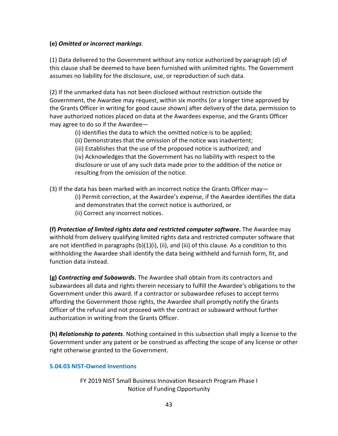### **(e)** *Omitted or incorrect markings*.

(1) Data delivered to the Government without any notice authorized by paragraph (d) of this clause shall be deemed to have been furnished with unlimited rights. The Government assumes no liability for the disclosure, use, or reproduction of such data.

(2) If the unmarked data has not been disclosed without restriction outside the Government, the Awardee may request, within six months (or a longer time approved by the Grants Officer in writing for good cause shown) after delivery of the data, permission to have authorized notices placed on data at the Awardees expense, and the Grants Officer may agree to do so if the Awardee—

- (i) Identifies the data to which the omitted notice is to be applied;
- (ii) Demonstrates that the omission of the notice was inadvertent;
- (iii) Establishes that the use of the proposed notice is authorized; and

(iv) Acknowledges that the Government has no liability with respect to the disclosure or use of any such data made prior to the addition of the notice or resulting from the omission of the notice.

(3) If the data has been marked with an incorrect notice the Grants Officer may— (i) Permit correction, at the Awardee's expense, if the Awardee identifies the data and demonstrates that the correct notice is authorized, or (ii) Correct any incorrect notices.

**(f)** *Protection of limited rights data and restricted computer software***.** The Awardee may withhold from delivery qualifying limited rights data and restricted computer software that are not identified in paragraphs  $(b)(1)(i)$ , (ii), and (iii) of this clause. As a condition to this withholding the Awardee shall identify the data being withheld and furnish form, fit, and function data instead.

**(g)** *Contracting and Subawards***.** The Awardee shall obtain from its contractors and subawardees all data and rights therein necessary to fulfill the Awardee's obligations to the Government under this award. If a contractor or subawardee refuses to accept terms affording the Government those rights, the Awardee shall promptly notify the Grants Officer of the refusal and not proceed with the contract or subaward without further authorization in writing from the Grants Officer.

**(h)** *Relationship to patents*. Nothing contained in this subsection shall imply a license to the Government under any patent or be construed as affecting the scope of any license or other right otherwise granted to the Government.

### **5.04.03 NIST-Owned Inventions**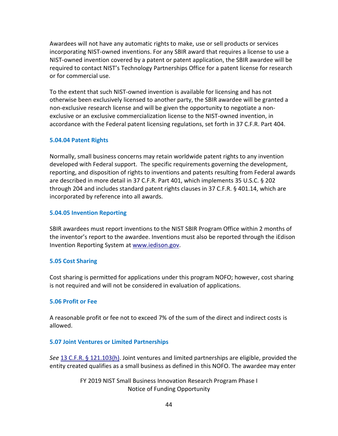Awardees will not have any automatic rights to make, use or sell products or services incorporating NIST-owned inventions. For any SBIR award that requires a license to use a NIST-owned invention covered by a patent or patent application, the SBIR awardee will be required to contact NIST's Technology Partnerships Office for a patent license for research or for commercial use.

To the extent that such NIST-owned invention is available for licensing and has not otherwise been exclusively licensed to another party, the SBIR awardee will be granted a non-exclusive research license and will be given the opportunity to negotiate a nonexclusive or an exclusive commercialization license to the NIST-owned invention, in accordance with the Federal patent licensing regulations, set forth in 37 C.F.R. Part 404.

#### **5.04.04 Patent Rights**

Normally, small business concerns may retain worldwide patent rights to any invention developed with Federal support. The specific requirements governing the development, reporting, and disposition of rights to inventions and patents resulting from Federal awards are described in more detail in 37 C.F.R. Part 401, which implements 35 U.S.C. § 202 through 204 and includes standard patent rights clauses in 37 C.F.R. § 401.14, which are incorporated by reference into all awards.

#### **5.04.05 Invention Reporting**

SBIR awardees must report inventions to the NIST SBIR Program Office within 2 months of the inventor's report to the awardee. Inventions must also be reported through the iEdison Invention Reporting System at [www.iedison.gov.](http://www.iedison.gov/)

### <span id="page-43-0"></span>**5.05 Cost Sharing**

Cost sharing is permitted for applications under this program NOFO; however, cost sharing is not required and will not be considered in evaluation of applications.

### <span id="page-43-1"></span>**5.06 Profit or Fee**

A reasonable profit or fee not to exceed 7% of the sum of the direct and indirect costs is allowed.

#### <span id="page-43-2"></span>**5.07 Joint Ventures or Limited Partnerships**

*See* [13 C.F.R. § 121.103\(h\).](http://www.ecfr.gov/cgi-bin/text-idx?SID=e26c2e0b9f32468dbb0cedb609a8d238&mc=true&node=se13.1.121_1103&rgn=div8) Joint ventures and limited partnerships are eligible, provided the entity created qualifies as a small business as defined in this NOFO. The awardee may enter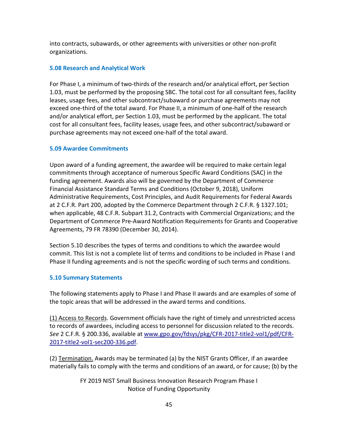into contracts, subawards, or other agreements with universities or other non-profit organizations.

### <span id="page-44-0"></span>**5.08 Research and Analytical Work**

For Phase I, a minimum of two-thirds of the research and/or analytical effort, per Section 1.03, must be performed by the proposing SBC. The total cost for all consultant fees, facility leases, usage fees, and other subcontract/subaward or purchase agreements may not exceed one-third of the total award. For Phase II, a minimum of one-half of the research and/or analytical effort, per Section 1.03, must be performed by the applicant. The total cost for all consultant fees, facility leases, usage fees, and other subcontract/subaward or purchase agreements may not exceed one-half of the total award.

### <span id="page-44-1"></span>**5.09 Awardee Commitments**

Upon award of a funding agreement, the awardee will be required to make certain legal commitments through acceptance of numerous Specific Award Conditions (SAC) in the funding agreement. Awards also will be governed by the Department of Commerce Financial Assistance Standard Terms and Conditions (October 9, 2018), Uniform Administrative Requirements, Cost Principles, and Audit Requirements for Federal Awards at 2 C.F.R. Part 200, adopted by the Commerce Department through 2 C.F.R. § 1327.101; when applicable, 48 C.F.R. Subpart 31.2, Contracts with Commercial Organizations; and the Department of Commerce Pre-Award Notification Requirements for Grants and Cooperative Agreements, 79 FR 78390 (December 30, 2014).

Section 5.10 describes the types of terms and conditions to which the awardee would commit. This list is not a complete list of terms and conditions to be included in Phase I and Phase II funding agreements and is not the specific wording of such terms and conditions.

### <span id="page-44-2"></span>**5.10 Summary Statements**

The following statements apply to Phase I and Phase II awards and are examples of some of the topic areas that will be addressed in the award terms and conditions.

(1) Access to Records. Government officials have the right of timely and unrestricted access to records of awardees, including access to personnel for discussion related to the records. *See* 2 C.F.R. § 200.336, available at [www.gpo.gov/fdsys/pkg/CFR-2017-title2-vol1/pdf/CFR-](http://www.gpo.gov/fdsys/pkg/CFR-2017-title2-vol1/pdf/CFR-2017-title2-vol1-sec200-336.pdf)[2017-title2-vol1-sec200-336.pdf.](http://www.gpo.gov/fdsys/pkg/CFR-2017-title2-vol1/pdf/CFR-2017-title2-vol1-sec200-336.pdf)

(2) Termination. Awards may be terminated (a) by the NIST Grants Officer, if an awardee materially fails to comply with the terms and conditions of an award, or for cause; (b) by the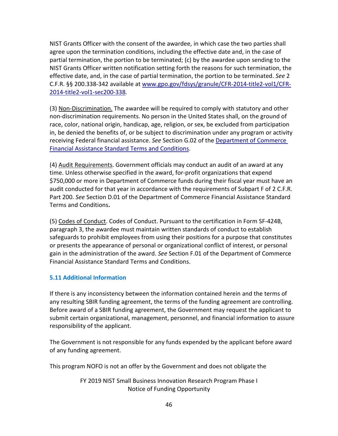NIST Grants Officer with the consent of the awardee, in which case the two parties shall agree upon the termination conditions, including the effective date and, in the case of partial termination, the portion to be terminated; (c) by the awardee upon sending to the NIST Grants Officer written notification setting forth the reasons for such termination, the effective date, and, in the case of partial termination, the portion to be terminated. *See* 2 C.F.R. §§ 200.338-342 available at [www.gpo.gov/fdsys/granule/CFR-2014-title2-vol1/CFR-](http://www.gpo.gov/fdsys/granule/CFR-2014-title2-vol1/CFR-2014-title2-vol1-sec200-338)[2014-title2-vol1-sec200-338.](http://www.gpo.gov/fdsys/granule/CFR-2014-title2-vol1/CFR-2014-title2-vol1-sec200-338)

(3) Non-Discrimination. The awardee will be required to comply with statutory and other non-discrimination requirements. No person in the United States shall, on the ground of race, color, national origin, handicap, age, religion, or sex, be excluded from participation in, be denied the benefits of, or be subject to discrimination under any program or activity receiving Federal financial assistance. *See* Section G.02 of the [Department of Commerce](http://www.osec.doc.gov/oam/grants_management/policy/documents/Department%20of%20Commerce%20Standard%20Terms%20&%20Conditions%2009%20October%202018.pdf)  [Financial Assistance Standard Terms](http://www.osec.doc.gov/oam/grants_management/policy/documents/Department%20of%20Commerce%20Standard%20Terms%20&%20Conditions%2009%20October%202018.pdf) and Conditions.

(4) Audit Requirements. Government officials may conduct an audit of an award at any time. Unless otherwise specified in the award, for-profit organizations that expend \$750,000 or more in Department of Commerce funds during their fiscal year must have an audit conducted for that year in accordance with the requirements of Subpart F of 2 C.F.R. Part 200. *See* Section D.01 of the Department of Commerce Financial Assistance Standard Terms and Conditions**.** 

(5) Codes of Conduct. Codes of Conduct. Pursuant to the certification in Form SF-424B, paragraph 3, the awardee must maintain written standards of conduct to establish safeguards to prohibit employees from using their positions for a purpose that constitutes or presents the appearance of personal or organizational conflict of interest, or personal gain in the administration of the award. *See* Section F.01 of the Department of Commerce Financial Assistance Standard Terms and Conditions.

### <span id="page-45-0"></span>**5.11 Additional Information**

If there is any inconsistency between the information contained herein and the terms of any resulting SBIR funding agreement, the terms of the funding agreement are controlling. Before award of a SBIR funding agreement, the Government may request the applicant to submit certain organizational, management, personnel, and financial information to assure responsibility of the applicant.

The Government is not responsible for any funds expended by the applicant before award of any funding agreement.

This program NOFO is not an offer by the Government and does not obligate the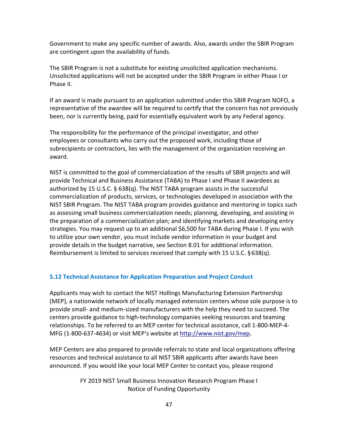Government to make any specific number of awards. Also, awards under the SBIR Program are contingent upon the availability of funds.

The SBIR Program is not a substitute for existing unsolicited application mechanisms. Unsolicited applications will not be accepted under the SBIR Program in either Phase I or Phase II.

If an award is made pursuant to an application submitted under this SBIR Program NOFO, a representative of the awardee will be required to certify that the concern has not previously been, nor is currently being, paid for essentially equivalent work by any Federal agency.

The responsibility for the performance of the principal investigator, and other employees or consultants who carry out the proposed work, including those of subrecipients or contractors, lies with the management of the organization receiving an award.

NIST is committed to the goal of commercialization of the results of SBIR projects and will provide Technical and Business Assistance (TABA) to Phase I and Phase II awardees as authorized by 15 U.S.C.  $\S$  638(q). The NIST TABA program assists in the successful commercialization of products, services, or technologies developed in association with the NIST SBIR Program. The NIST TABA program provides guidance and mentoring in topics such as assessing small business commercialization needs; planning, developing, and assisting in the preparation of a commercialization plan; and identifying markets and developing entry strategies. You may request up to an additional \$6,500 for TABA during Phase I. If you wish to utilize your own vendor, you must include vendor information in your budget and provide details in the budget narrative, see Section 8.01 for additional information. Reimbursement is limited to services received that comply with 15 U.S.C. § 638(q).

### <span id="page-46-0"></span>**5.12 Technical Assistance for Application Preparation and Project Conduct**

Applicants may wish to contact the NIST Hollings Manufacturing Extension Partnership (MEP), a nationwide network of locally managed extension centers whose sole purpose is to provide small- and medium-sized manufacturers with the help they need to succeed. The centers provide guidance to high-technology companies seeking resources and teaming relationships. To be referred to an MEP center for technical assistance, call 1-800-MEP-4- MFG (1-800-637-4634) or visit MEP's website at<http://www.nist.gov/mep>**.** 

MEP Centers are also prepared to provide referrals to state and local organizations offering resources and technical assistance to all NIST SBIR applicants after awards have been announced. If you would like your local MEP Center to contact you, please respond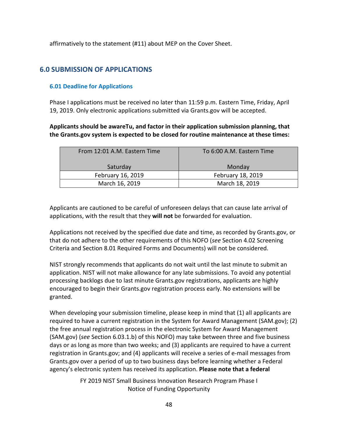affirmatively to the statement (#11) about MEP on the Cover Sheet.

## <span id="page-47-0"></span>**6.0 SUBMISSION OF APPLICATIONS**

### <span id="page-47-1"></span>**6.01 Deadline for Applications**

Phase I applications must be received no later than 11:59 p.m. Eastern Time, Friday, April 19, 2019. Only electronic applications submitted via Grants.gov will be accepted.

### **Applicants should be awareTu, and factor in their application submission planning, that the Grants.gov system is expected to be closed for routine maintenance at these times:**

| From 12:01 A.M. Eastern Time | To 6:00 A.M. Eastern Time |
|------------------------------|---------------------------|
| Saturday                     | Monday                    |
| February 16, 2019            | February 18, 2019         |
| March 16, 2019               | March 18, 2019            |

Applicants are cautioned to be careful of unforeseen delays that can cause late arrival of applications, with the result that they **will not** be forwarded for evaluation.

Applications not received by the specified due date and time, as recorded by Grants.gov, or that do not adhere to the other requirements of this NOFO (*see* Section 4.02 Screening Criteria and Section 8.01 Required Forms and Documents) will not be considered.

NIST strongly recommends that applicants do not wait until the last minute to submit an application. NIST will not make allowance for any late submissions. To avoid any potential processing backlogs due to last minute Grants.gov registrations, applicants are highly encouraged to begin their Grants.gov registration process early. No extensions will be granted.

When developing your submission timeline, please keep in mind that (1) all applicants are required to have a current registration in the System for Award Management (SAM.gov); (2) the free annual registration process in the electronic System for Award Management (SAM.gov) (*see* Section 6.03.1.b) of this NOFO) may take between three and five business days or as long as more than two weeks; and (3) applicants are required to have a current registration in Grants.gov; and (4) applicants will receive a series of e-mail messages from Grants.gov over a period of up to two business days before learning whether a Federal agency's electronic system has received its application. **Please note that a federal**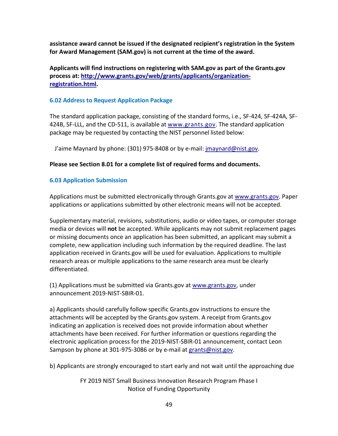**assistance award cannot be issued if the designated recipient's registration in the System for Award Management (SAM.gov) is not current at the time of the award.**

### **Applicants will find instructions on registering with SAM.gov as part of the Grants.gov process at: [http://www.grants.gov/web/grants/applicants/organization](http://www.grants.gov/web/grants/applicants/organization-registration.html)[registration.html.](http://www.grants.gov/web/grants/applicants/organization-registration.html)**

### <span id="page-48-0"></span>**6.02 Address to Request Application Package**

The standard application package, consisting of the standard forms, i.e., SF-424, SF-424A, SF-424B, SF-LLL, and the CD-511, is available at [www.grants.gov.](http://www.grants.gov/) The standard application package may be requested by contacting the NIST personnel listed below:

J'aime Maynard by phone: (301) 975-8408 or by e-mail: [jmaynard@nist.gov.](mailto:jmaynard@nist.gov)

### **Please see Section 8.01 for a complete list of required forms and documents.**

### <span id="page-48-1"></span>**6.03 Application Submission**

Applications must be submitted electronically through Grants.gov at [www.grants.gov.](http://www.grants.gov/) Paper applications or applications submitted by other electronic means will not be accepted.

Supplementary material, revisions, substitutions, audio or video tapes, or computer storage media or devices will **not** be accepted. While applicants may not submit replacement pages or missing documents once an application has been submitted, an applicant may submit a complete, new application including such information by the required deadline. The last application received in Grants.gov will be used for evaluation. Applications to multiple research areas or multiple applications to the same research area must be clearly differentiated.

(1) Applications must be submitted via Grants.gov at [www.grants.gov,](http://www.grants.gov/) under announcement 2019-NIST-SBIR-01.

a) Applicants should carefully follow specific Grants.gov instructions to ensure the attachments will be accepted by the Grants.gov system. A receipt from Grants.gov indicating an application is received does not provide information about whether attachments have been received. For further information or questions regarding the electronic application process for the 2019-NIST-SBIR-01 announcement, contact Leon Sampson by phone at 301-975-3086 or by e-mail at [grants@nist.gov.](mailto:grants@nist.gov)

b) Applicants are strongly encouraged to start early and not wait until the approaching due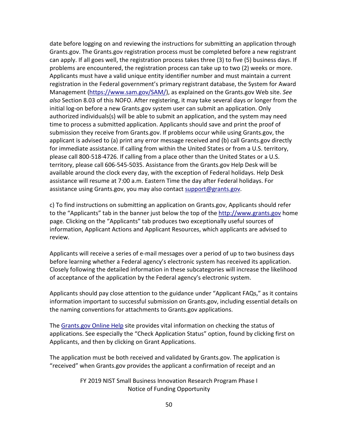date before logging on and reviewing the instructions for submitting an application through Grants.gov. The Grants.gov registration process must be completed before a new registrant can apply. If all goes well, the registration process takes three (3) to five (5) business days. If problems are encountered, the registration process can take up to two (2) weeks or more. Applicants must have a valid unique entity identifier number and must maintain a current registration in the Federal government's primary registrant database, the System for Award Management [\(https://www.sam.gov/SAM/\)](https://www.sam.gov/SAM/), as explained on the Grants.gov Web site. *See also* Section 8.03 of this NOFO. After registering, it may take several days or longer from the initial log-on before a new Grants.gov system user can submit an application. Only authorized individuals(s) will be able to submit an application, and the system may need time to process a submitted application. Applicants should save and print the proof of submission they receive from Grants.gov. If problems occur while using Grants.gov, the applicant is advised to (a) print any error message received and (b) call Grants.gov directly for immediate assistance. If calling from within the United States or from a U.S. territory, please call 800-518-4726. If calling from a place other than the United States or a U.S. territory, please call 606-545-5035. Assistance from the Grants.gov Help Desk will be available around the clock every day, with the exception of Federal holidays. Help Desk assistance will resume at 7:00 a.m. Eastern Time the day after Federal holidays. For assistance using Grants.gov, you may also contact [support@grants.gov.](mailto:support@grants.gov)

c) To find instructions on submitting an application on Grants.gov, Applicants should refer to the "Applicants" tab in the banner just below the top of the [http://www.grants.gov](http://www.grants.gov/) home page. Clicking on the "Applicants" tab produces two exceptionally useful sources of information, Applicant Actions and Applicant Resources, which applicants are advised to review.

Applicants will receive a series of e-mail messages over a period of up to two business days before learning whether a Federal agency's electronic system has received its application. Closely following the detailed information in these subcategories will increase the likelihood of acceptance of the application by the Federal agency's electronic system.

Applicants should pay close attention to the guidance under "Applicant FAQs," as it contains information important to successful submission on Grants.gov, including essential details on the naming conventions for attachments to Grants.gov applications.

The [Grants.gov Online Help](https://www.grants.gov/help/html/help/index.htm?callingApp=custom#t=GetStarted%2FGetStarted.htm) site provides vital information on checking the status of applications. See especially the "Check Application Status" option, found by clicking first on Applicants, and then by clicking on Grant Applications.

The application must be both received and validated by Grants.gov. The application is "received" when Grants.gov provides the applicant a confirmation of receipt and an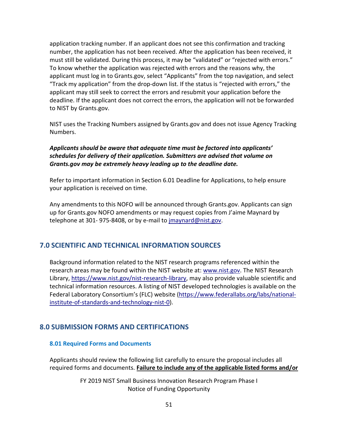application tracking number. If an applicant does not see this confirmation and tracking number, the application has not been received. After the application has been received, it must still be validated. During this process, it may be "validated" or "rejected with errors." To know whether the application was rejected with errors and the reasons why, the applicant must log in to Grants.gov, select "Applicants" from the top navigation, and select "Track my application" from the drop-down list. If the status is "rejected with errors," the applicant may still seek to correct the errors and resubmit your application before the deadline. If the applicant does not correct the errors, the application will not be forwarded to NIST by Grants.gov.

NIST uses the Tracking Numbers assigned by Grants.gov and does not issue Agency Tracking Numbers.

### *Applicants should be aware that adequate time must be factored into applicants' schedules for delivery of their application. Submitters are advised that volume on Grants.gov may be extremely heavy leading up to the deadline date.*

Refer to important information in Section 6.01 Deadline for Applications, to help ensure your application is received on time.

Any amendments to this NOFO will be announced through Grants.gov. Applicants can sign up for Grants.gov NOFO amendments or may request copies from J'aime Maynard by telephone at 301- 975-8408, or by e-mail to [jmaynard@nist.gov.](mailto:jmaynard@nist.gov)

### <span id="page-50-0"></span>**7.0 SCIENTIFIC AND TECHNICAL INFORMATION SOURCES**

Background information related to the NIST research programs referenced within the research areas may be found within the NIST website at: [www.nist.gov.](http://www.nist.gov/) The NIST Research Library, [https://www.nist.gov/nist-research-library,](https://www.nist.gov/nist-research-library) may also provide valuable scientific and technical information resources. A listing of NIST developed technologies is available on the Federal Laboratory Consortium's (FLC) website [\(https://www.federallabs.org/labs/national](https://www.federallabs.org/labs/national-institute-of-standards-and-technology-nist-0)[institute-of-standards-and-technology-nist-0\)](https://www.federallabs.org/labs/national-institute-of-standards-and-technology-nist-0).

### <span id="page-50-1"></span>**8.0 SUBMISSION FORMS AND CERTIFICATIONS**

### <span id="page-50-2"></span>**8.01 Required Forms and Documents**

Applicants should review the following list carefully to ensure the proposal includes all required forms and documents. **Failure to include any of the applicable listed forms and/or**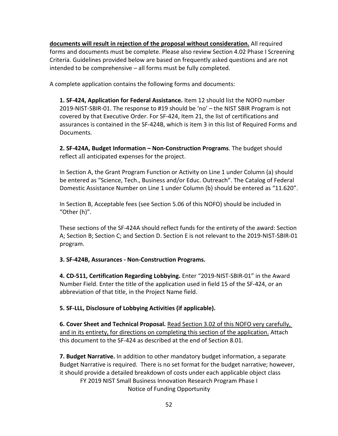**documents will result in rejection of the proposal without consideration.** All required forms and documents must be complete. Please also review Section 4.02 Phase I Screening Criteria. Guidelines provided below are based on frequently asked questions and are not intended to be comprehensive – all forms must be fully completed.

A complete application contains the following forms and documents:

**1. SF-424, Application for Federal Assistance.** Item 12 should list the NOFO number 2019-NIST-SBIR-01. The response to #19 should be 'no' – the NIST SBIR Program is not covered by that Executive Order. For SF-424, Item 21, the list of certifications and assurances is contained in the SF-424B, which is item 3 in this list of Required Forms and Documents.

**2. SF-424A, Budget Information – Non-Construction Programs**. The budget should reflect all anticipated expenses for the project.

In Section A, the Grant Program Function or Activity on Line 1 under Column (a) should be entered as "Science, Tech., Business and/or Educ. Outreach". The Catalog of Federal Domestic Assistance Number on Line 1 under Column (b) should be entered as "11.620".

In Section B, Acceptable fees (see Section 5.06 of this NOFO) should be included in "Other (h)".

These sections of the SF-424A should reflect funds for the entirety of the award: Section A; Section B; Section C; and Section D. Section E is not relevant to the 2019-NIST-SBIR-01 program.

### **3. SF-424B, Assurances - Non-Construction Programs.**

**4. CD-511, Certification Regarding Lobbying.** Enter "2019-NIST-SBIR-01" in the Award Number Field. Enter the title of the application used in field 15 of the SF-424, or an abbreviation of that title, in the Project Name field.

**5. SF-LLL, Disclosure of Lobbying Activities (if applicable).**

**6. Cover Sheet and Technical Proposal.** Read Section 3.02 of this NOFO very carefully, and in its entirety, for directions on completing this section of the application. Attach this document to the SF-424 as described at the end of Section 8.01.

FY 2019 NIST Small Business Innovation Research Program Phase I Notice of Funding Opportunity **7. Budget Narrative.** In addition to other mandatory budget information, a separate Budget Narrative is required. There is no set format for the budget narrative; however, it should provide a detailed breakdown of costs under each applicable object class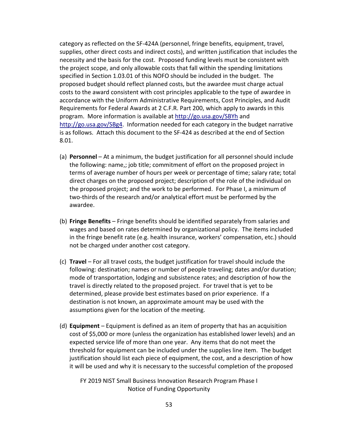category as reflected on the SF-424A (personnel, fringe benefits, equipment, travel, supplies, other direct costs and indirect costs), and written justification that includes the necessity and the basis for the cost. Proposed funding levels must be consistent with the project scope, and only allowable costs that fall within the spending limitations specified in Section 1.03.01 of this NOFO should be included in the budget. The proposed budget should reflect planned costs, but the awardee must charge actual costs to the award consistent with cost principles applicable to the type of awardee in accordance with the Uniform Administrative Requirements, Cost Principles, and Audit Requirements for Federal Awards at 2 C.F.R. Part 200, which apply to awards in this program. More information is available at<http://go.usa.gov/SBYh> and [http://go.usa.gov/SBg4.](http://go.usa.gov/SBg4) Information needed for each category in the budget narrative is as follows. Attach this document to the SF-424 as described at the end of Section 8.01.

- (a) **Personnel** At a minimum, the budget justification for all personnel should include the following: name,; job title; commitment of effort on the proposed project in terms of average number of hours per week or percentage of time; salary rate; total direct charges on the proposed project; description of the role of the individual on the proposed project; and the work to be performed. For Phase I, a minimum of two-thirds of the research and/or analytical effort must be performed by the awardee.
- (b) **Fringe Benefits** Fringe benefits should be identified separately from salaries and wages and based on rates determined by organizational policy. The items included in the fringe benefit rate (e.g. health insurance, workers' compensation, etc.) should not be charged under another cost category.
- (c) **Travel**  For all travel costs, the budget justification for travel should include the following: destination; names or number of people traveling; dates and/or duration; mode of transportation, lodging and subsistence rates; and description of how the travel is directly related to the proposed project. For travel that is yet to be determined, please provide best estimates based on prior experience. If a destination is not known, an approximate amount may be used with the assumptions given for the location of the meeting.
- (d) **Equipment**  Equipment is defined as an item of property that has an acquisition cost of \$5,000 or more (unless the organization has established lower levels) and an expected service life of more than one year. Any items that do not meet the threshold for equipment can be included under the supplies line item. The budget justification should list each piece of equipment, the cost, and a description of how it will be used and why it is necessary to the successful completion of the proposed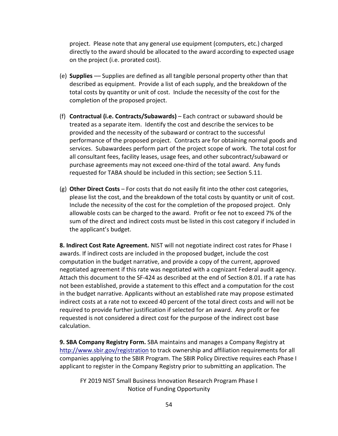project. Please note that any general use equipment (computers, etc.) charged directly to the award should be allocated to the award according to expected usage on the project (i.e. prorated cost).

- (e) **Supplies** –– Supplies are defined as all tangible personal property other than that described as equipment. Provide a list of each supply, and the breakdown of the total costs by quantity or unit of cost. Include the necessity of the cost for the completion of the proposed project.
- (f) **Contractual (i.e. Contracts/Subawards)**  Each contract or subaward should be treated as a separate item. Identify the cost and describe the services to be provided and the necessity of the subaward or contract to the successful performance of the proposed project. Contracts are for obtaining normal goods and services. Subawardees perform part of the project scope of work. The total cost for all consultant fees, facility leases, usage fees, and other subcontract/subaward or purchase agreements may not exceed one-third of the total award. Any funds requested for TABA should be included in this section; see Section 5.11.
- (g) **Other Direct Costs** For costs that do not easily fit into the other cost categories, please list the cost, and the breakdown of the total costs by quantity or unit of cost. Include the necessity of the cost for the completion of the proposed project. Only allowable costs can be charged to the award. Profit or fee not to exceed 7% of the sum of the direct and indirect costs must be listed in this cost category if included in the applicant's budget.

**8. Indirect Cost Rate Agreement.** NIST will not negotiate indirect cost rates for Phase I awards. If indirect costs are included in the proposed budget, include the cost computation in the budget narrative, and provide a copy of the current, approved negotiated agreement if this rate was negotiated with a cognizant Federal audit agency. Attach this document to the SF-424 as described at the end of Section 8.01. If a rate has not been established, provide a statement to this effect and a computation for the cost in the budget narrative. Applicants without an established rate may propose estimated indirect costs at a rate not to exceed 40 percent of the total direct costs and will not be required to provide further justification if selected for an award. Any profit or fee requested is not considered a direct cost for the purpose of the indirect cost base calculation.

**9. SBA Company Registry Form.** SBA maintains and manages a Company Registry at <http://www.sbir.gov/registration> to track ownership and affiliation requirements for all companies applying to the SBIR Program. The SBIR Policy Directive requires each Phase I applicant to register in the Company Registry prior to submitting an application. The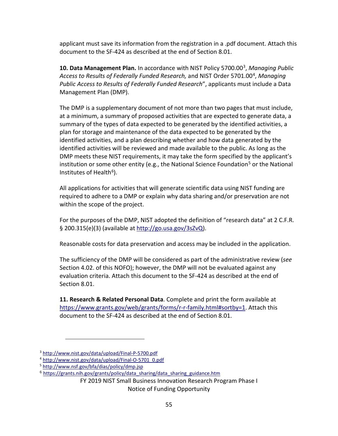applicant must save its information from the registration in a .pdf document. Attach this document to the SF-424 as described at the end of Section 8.01.

**10. Data Management Plan.** In accordance with NIST Policy 5700.00[3,](#page-54-0) *Managing Public Access to Results of Federally Funded Research,* and NIST Order 5701.00[4](#page-54-1), *Managing Public Access to Results of Federally Funded Research*", applicants must include a Data Management Plan (DMP).

The DMP is a supplementary document of not more than two pages that must include, at a minimum, a summary of proposed activities that are expected to generate data, a summary of the types of data expected to be generated by the identified activities, a plan for storage and maintenance of the data expected to be generated by the identified activities, and a plan describing whether and how data generated by the identified activities will be reviewed and made available to the public. As long as the DMP meets these NIST requirements, it may take the form specified by the applicant's institution or some other entity (e.g., the National Science Foundation<sup>[5](#page-54-2)</sup> or the National Institutes of Health $6$ ).

All applications for activities that will generate scientific data using NIST funding are required to adhere to a DMP or explain why data sharing and/or preservation are not within the scope of the project.

For the purposes of the DMP, NIST adopted the definition of "research data" at 2 C.F.R. § 200.315(e)(3) (available at [http://go.usa.gov/3sZvQ\)](http://go.usa.gov/3sZvQ).

Reasonable costs for data preservation and access may be included in the application.

The sufficiency of the DMP will be considered as part of the administrative review (*see* Section 4.02. of this NOFO); however, the DMP will not be evaluated against any evaluation criteria. Attach this document to the SF-424 as described at the end of Section 8.01.

**11. Research & Related Personal Data**. Complete and print the form available at [https://www.grants.gov/web/grants/forms/r-r-family.html#sortby=1.](https://www.grants.gov/web/grants/forms/r-r-family.html#sortby=1) Attach this document to the SF-424 as described at the end of Section 8.01.

 $\overline{a}$ 

<span id="page-54-0"></span><sup>&</sup>lt;sup>3</sup> http://www.nist.gov/data/upload/Final-P-5700.pdf<br><sup>4</sup> [http://www.nist.gov/data/upload/Final-O-5701\\_0.pdf](http://www.nist.gov/data/upload/Final-O-5701_0.pdf)

<span id="page-54-1"></span>

<span id="page-54-2"></span><sup>5</sup> <http://www.nsf.gov/bfa/dias/policy/dmp.jsp>

<span id="page-54-3"></span><sup>6</sup> [https://grants.nih.gov/grants/policy/data\\_sharing/data\\_sharing\\_guidance.htm](https://grants.nih.gov/grants/policy/data_sharing/data_sharing_guidance.htm)

FY 2019 NIST Small Business Innovation Research Program Phase I

Notice of Funding Opportunity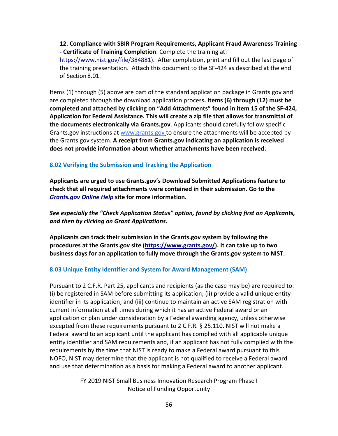**12. Compliance with SBIR Program Requirements, Applicant Fraud Awareness Training - Certificate of Training Completion**. Complete the training at:

[https://www.nist.gov/file/384881\)](https://www.nist.gov/file/384881). After completion, print and fill out the last page of the training presentation. Attach this document to the SF-424 as described at the end of Section 8.01.

Items (1) through (5) above are part of the standard application package in Grants.gov and are completed through the download application process**. Items (6) through (12) must be completed and attached by clicking on "Add Attachments" found in item 15 of the SF-424, Application for Federal Assistance. This will create a zip file that allows for transmittal of the documents electronically via Grants.gov**. Applicants should carefully follow specific Grants.gov instructions at [www.grants.gov](http://www.grants.gov/) to ensure the attachments will be accepted by the Grants.gov system. **A receipt from Grants.gov indicating an application is received does not provide information about whether attachments have been received.**

#### <span id="page-55-0"></span>**8.02 Verifying the Submission and Tracking the Application**

**Applicants are urged to use Grants.gov's Download Submitted Applications feature to check that all required attachments were contained in their submission. Go to the**  *[Grants.gov Online Help](https://www.grants.gov/help/html/help/index.htm?callingApp=custom#t=GetStarted%2FGetStarted.htm)* **site for more information.**

*See especially the "Check Application Status" option, found by clicking first on Applicants, and then by clicking on Grant Applications.* 

**Applicants can track their submission in the Grants.gov system by following the procedures at the Grants.gov site [\(https://www.grants.gov/\)](https://www.grants.gov/). It can take up to two business days for an application to fully move through the Grants.gov system to NIST.**

#### <span id="page-55-1"></span>**8.03 Unique Entity Identifier and System for Award Management (SAM)**

Pursuant to 2 C.F.R. Part 25, applicants and recipients (as the case may be) are required to: (i) be registered in SAM before submitting its application; (ii) provide a valid unique entity identifier in its application; and (iii) continue to maintain an active SAM registration with current information at all times during which it has an active Federal award or an application or plan under consideration by a Federal awarding agency, unless otherwise excepted from these requirements pursuant to 2 C.F.R. § 25.110. NIST will not make a Federal award to an applicant until the applicant has complied with all applicable unique entity identifier and SAM requirements and, if an applicant has not fully complied with the requirements by the time that NIST is ready to make a Federal award pursuant to this NOFO, NIST may determine that the applicant is not qualified to receive a Federal award and use that determination as a basis for making a Federal award to another applicant.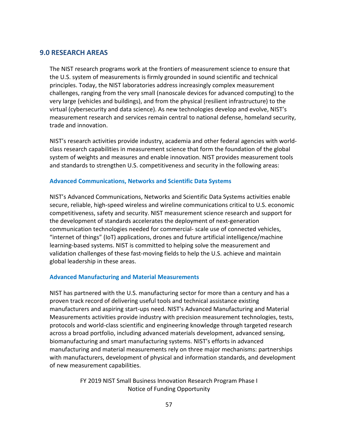### <span id="page-56-0"></span>**9.0 RESEARCH AREAS**

The NIST research programs work at the frontiers of measurement science to ensure that the U.S. system of measurements is firmly grounded in sound scientific and technical principles. Today, the NIST laboratories address increasingly complex measurement challenges, ranging from the very small (nanoscale devices for advanced computing) to the very large (vehicles and buildings), and from the physical (resilient infrastructure) to the virtual (cybersecurity and data science). As new technologies develop and evolve, NIST's measurement research and services remain central to national defense, homeland security, trade and innovation.

NIST's research activities provide industry, academia and other federal agencies with worldclass research capabilities in measurement science that form the foundation of the global system of weights and measures and enable innovation. NIST provides measurement tools and standards to strengthen U.S. competitiveness and security in the following areas:

### **Advanced Communications, Networks and Scientific Data Systems**

NIST's Advanced Communications, Networks and Scientific Data Systems activities enable secure, reliable, high-speed wireless and wireline communications critical to U.S. economic competitiveness, safety and security. NIST measurement science research and support for the development of standards accelerates the deployment of next-generation communication technologies needed for commercial- scale use of connected vehicles, "internet of things" (IoT) applications, drones and future artificial intelligence/machine learning-based systems. NIST is committed to helping solve the measurement and validation challenges of these fast-moving fields to help the U.S. achieve and maintain global leadership in these areas.

### **Advanced Manufacturing and Material Measurements**

NIST has partnered with the U.S. manufacturing sector for more than a century and has a proven track record of delivering useful tools and technical assistance existing manufacturers and aspiring start-ups need. NIST's Advanced Manufacturing and Material Measurements activities provide industry with precision measurement technologies, tests, protocols and world-class scientific and engineering knowledge through targeted research across a broad portfolio, including advanced materials development, advanced sensing, biomanufacturing and smart manufacturing systems. NIST's efforts in advanced manufacturing and material measurements rely on three major mechanisms: partnerships with manufacturers, development of physical and information standards, and development of new measurement capabilities.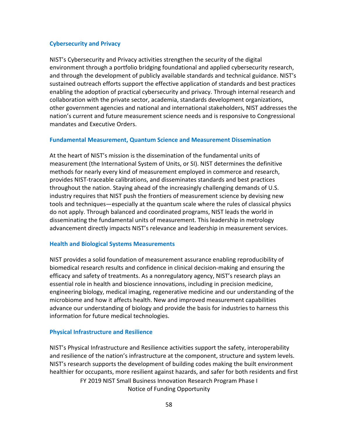### **Cybersecurity and Privacy**

NIST's Cybersecurity and Privacy activities strengthen the security of the digital environment through a portfolio bridging foundational and applied cybersecurity research, and through the development of publicly available standards and technical guidance. NIST's sustained outreach efforts support the effective application of standards and best practices enabling the adoption of practical cybersecurity and privacy. Through internal research and collaboration with the private sector, academia, standards development organizations, other government agencies and national and international stakeholders, NIST addresses the nation's current and future measurement science needs and is responsive to Congressional mandates and Executive Orders.

#### **Fundamental Measurement, Quantum Science and Measurement Dissemination**

At the heart of NIST's mission is the dissemination of the fundamental units of measurement (the International System of Units, or SI). NIST determines the definitive methods for nearly every kind of measurement employed in commerce and research, provides NIST-traceable calibrations, and disseminates standards and best practices throughout the nation. Staying ahead of the increasingly challenging demands of U.S. industry requires that NIST push the frontiers of measurement science by devising new tools and techniques—especially at the quantum scale where the rules of classical physics do not apply. Through balanced and coordinated programs, NIST leads the world in disseminating the fundamental units of measurement. This leadership in metrology advancement directly impacts NIST's relevance and leadership in measurement services.

### **Health and Biological Systems Measurements**

NIST provides a solid foundation of measurement assurance enabling reproducibility of biomedical research results and confidence in clinical decision-making and ensuring the efficacy and safety of treatments. As a nonregulatory agency, NIST's research plays an essential role in health and bioscience innovations, including in precision medicine, engineering biology, medical imaging, regenerative medicine and our understanding of the microbiome and how it affects health. New and improved measurement capabilities advance our understanding of biology and provide the basis for industries to harness this information for future medical technologies.

### **Physical Infrastructure and Resilience**

FY 2019 NIST Small Business Innovation Research Program Phase I Notice of Funding Opportunity NIST's Physical Infrastructure and Resilience activities support the safety, interoperability and resilience of the nation's infrastructure at the component, structure and system levels. NIST's research supports the development of building codes making the built environment healthier for occupants, more resilient against hazards, and safer for both residents and first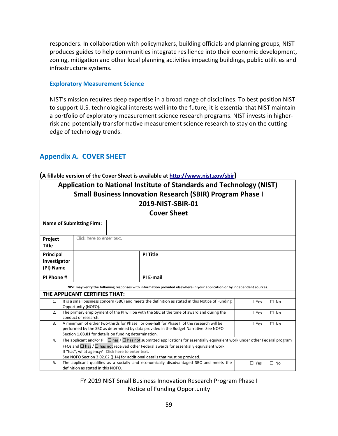responders. In collaboration with policymakers, building officials and planning groups, NIST produces guides to help communities integrate resilience into their economic development, zoning, mitigation and other local planning activities impacting buildings, public utilities and infrastructure systems.

#### **Exploratory Measurement Science**

NIST's mission requires deep expertise in a broad range of disciplines. To best position NIST to support U.S. technological interests well into the future, it is essential that NIST maintain a portfolio of exploratory measurement science research programs. NIST invests in higherrisk and potentially transformative measurement science research to stay on the cutting edge of technology trends.

# <span id="page-58-0"></span>**Appendix A. COVER SHEET**

#### **(A fillable version of the Cover Sheet is available at [http://www.nist.gov/sbir\)](http://www.nist.gov/sbir)**

| Application to National Institute of Standards and Technology (NIST)<br><b>Small Business Innovation Research (SBIR) Program Phase I</b><br>2019-NIST-SBIR-01<br><b>Cover Sheet</b>                                                                                                                                                                                                     |                                                                                                                                                                                                                                                                          |                           |           |                                                                                        |                         |
|-----------------------------------------------------------------------------------------------------------------------------------------------------------------------------------------------------------------------------------------------------------------------------------------------------------------------------------------------------------------------------------------|--------------------------------------------------------------------------------------------------------------------------------------------------------------------------------------------------------------------------------------------------------------------------|---------------------------|-----------|----------------------------------------------------------------------------------------|-------------------------|
|                                                                                                                                                                                                                                                                                                                                                                                         | <b>Name of Submitting Firm:</b>                                                                                                                                                                                                                                          |                           |           |                                                                                        |                         |
| Project<br><b>Title</b>                                                                                                                                                                                                                                                                                                                                                                 |                                                                                                                                                                                                                                                                          | Click here to enter text. |           |                                                                                        |                         |
| Principal<br>Investigator<br>(PI) Name                                                                                                                                                                                                                                                                                                                                                  |                                                                                                                                                                                                                                                                          | <b>PI Title</b>           |           |                                                                                        |                         |
| PI Phone #                                                                                                                                                                                                                                                                                                                                                                              |                                                                                                                                                                                                                                                                          |                           | PI E-mail |                                                                                        |                         |
| NIST may verify the following responses with information provided elsewhere in your application or by independent sources.                                                                                                                                                                                                                                                              |                                                                                                                                                                                                                                                                          |                           |           |                                                                                        |                         |
|                                                                                                                                                                                                                                                                                                                                                                                         | THE APPLICANT CERTIFIES THAT:                                                                                                                                                                                                                                            |                           |           |                                                                                        |                         |
| It is a small business concern (SBC) and meets the definition as stated in this Notice of Funding<br>1.<br>$\Box$ Yes<br>$\Box$ No<br>Opportunity (NOFO).                                                                                                                                                                                                                               |                                                                                                                                                                                                                                                                          |                           |           |                                                                                        |                         |
| 2.                                                                                                                                                                                                                                                                                                                                                                                      | The primary employment of the PI will be with the SBC at the time of award and during the<br>$\Box$ Yes<br>$\Box$ No<br>conduct of research.                                                                                                                             |                           |           |                                                                                        |                         |
| 3.                                                                                                                                                                                                                                                                                                                                                                                      | A minimum of either two-thirds for Phase I or one-half for Phase II of the research will be<br>$\Box$ Yes<br>$\Box$ No<br>performed by the SBC as determined by data provided in the Budget Narrative. See NOFO<br>Section 1.03.01 for details on funding determination. |                           |           |                                                                                        |                         |
| The applicant and/or PI $\Box$ has / $\Box$ has not submitted applications for essentially equivalent work under other Federal program<br>4.<br>FFOs and $\Box$ has $/\Box$ has not received other Federal awards for essentially equivalent work.<br>If "has", what agency? Click here to enter text.<br>See NOFO Section 3.02.02 () 14) for additional details that must be provided. |                                                                                                                                                                                                                                                                          |                           |           |                                                                                        |                         |
| 5.                                                                                                                                                                                                                                                                                                                                                                                      | definition as stated in this NOFO.                                                                                                                                                                                                                                       |                           |           | The applicant qualifies as a socially and economically disadvantaged SBC and meets the | $\Box$ Yes<br>$\Box$ No |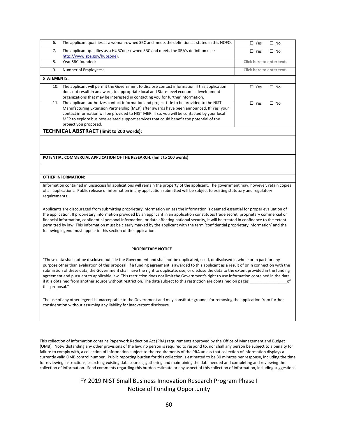| 6.                 | The applicant qualifies as a woman-owned SBC and meets the definition as stated in this NOFO. | $\Box$ Yes<br>$\Box$ No    |
|--------------------|-----------------------------------------------------------------------------------------------|----------------------------|
| 7.                 | The applicant qualifies as a HUBZone-owned SBC and meets the SBA's definition (see            | $\Box$ Yes<br>$\Box$ No    |
|                    | http://www.sba.gov/hubzone).                                                                  |                            |
| 8.                 | Year SBC founded:                                                                             | Click here to enter text.  |
| 9.                 | Number of Employees:                                                                          | Click here to enter text.  |
| <b>STATEMENTS:</b> |                                                                                               |                            |
| 10.                | The applicant will permit the Government to disclose contact information if this application  | $\square$ Yes<br>$\Box$ No |
|                    | does not result in an award, to appropriate local and State-level economic development        |                            |
|                    | organizations that may be interested in contacting you for further information.               |                            |
| 11.                | The applicant authorizes contact information and project title to be provided to the NIST     | $\square$ Yes<br>$\Box$ No |
|                    |                                                                                               |                            |
|                    | Manufacturing Extension Partnership (MEP) after awards have been announced. If 'Yes' your     |                            |
|                    | contact information will be provided to NIST MEP. If so, you will be contacted by your local  |                            |
|                    | MEP to explore business-related support services that could benefit the potential of the      |                            |
|                    | project you proposed.                                                                         |                            |
|                    | <b>TECHNICAL ABSTRACT (limit to 200 words):</b>                                               |                            |
|                    |                                                                                               |                            |
|                    |                                                                                               |                            |
|                    |                                                                                               |                            |
|                    |                                                                                               |                            |
|                    | POTENTIAL COMMERCIAL APPLICATION OF THE RESEARCH: (limit to 100 words)                        |                            |

#### **OTHER INFORMATION:**

Information contained in unsuccessful applications will remain the property of the applicant. The government may, however, retain copies of all applications. Public release of information in any application submitted will be subject to existing statutory and regulatory requirements.

Applicants are discouraged from submitting proprietary information unless the information is deemed essential for proper evaluation of the application. If proprietary information provided by an applicant in an application constitutes trade secret, proprietary commercial or financial information, confidential personal information, or data affecting national security, it will be treated in confidence to the extent permitted by law. This information must be clearly marked by the applicant with the term 'confidential proprietary information' and the following legend must appear in this section of the application.

#### **PROPRIETARY NOTICE**

"These data shall not be disclosed outside the Government and shall not be duplicated, used, or disclosed in whole or in part for any purpose other than evaluation of this proposal. If a funding agreement is awarded to this applicant as a result of or in connection with the submission of these data, the Government shall have the right to duplicate, use, or disclose the data to the extent provided in the funding agreement and pursuant to applicable law. This restriction does not limit the Government's right to use information contained in the data if it is obtained from another source without restriction. The data subject to this restriction are contained on pages \_\_\_\_\_\_\_\_\_\_\_\_\_\_\_\_\_of this proposal."

The use of any other legend is unacceptable to the Government and may constitute grounds for removing the application from further consideration without assuming any liability for inadvertent disclosure.

This collection of information contains Paperwork Reduction Act (PRA) requirements approved by the Office of Management and Budget (OMB). Notwithstanding any other provisions of the law, no person is required to respond to, nor shall any person be subject to a penalty for failure to comply with, a collection of information subject to the requirements of the PRA unless that collection of information displays a currently valid OMB control number. Public reporting burden for this collection is estimated to be 30 minutes per response, including the time for reviewing instructions, searching existing data sources, gathering and maintaining the data needed and completing and reviewing the collection of information. Send comments regarding this burden estimate or any aspect of this collection of information, including suggestions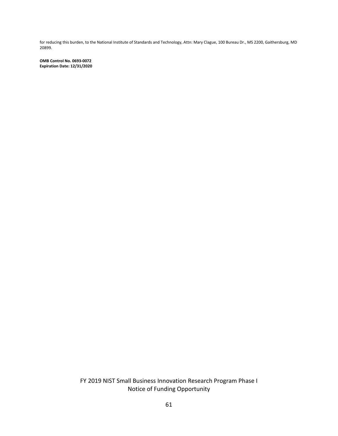for reducing this burden, to the National Institute of Standards and Technology, Attn: Mary Clague, 100 Bureau Dr., MS 2200, Gaithersburg, MD 20899.

**OMB Control No. 0693-0072 Expiration Date: 12/31/2020**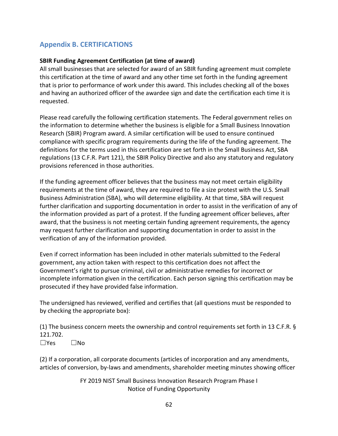# <span id="page-61-0"></span>**Appendix B. CERTIFICATIONS**

### **SBIR Funding Agreement Certification (at time of award)**

All small businesses that are selected for award of an SBIR funding agreement must complete this certification at the time of award and any other time set forth in the funding agreement that is prior to performance of work under this award. This includes checking all of the boxes and having an authorized officer of the awardee sign and date the certification each time it is requested.

Please read carefully the following certification statements. The Federal government relies on the information to determine whether the business is eligible for a Small Business Innovation Research (SBIR) Program award. A similar certification will be used to ensure continued compliance with specific program requirements during the life of the funding agreement. The definitions for the terms used in this certification are set forth in the Small Business Act, SBA regulations (13 C.F.R. Part 121), the SBIR Policy Directive and also any statutory and regulatory provisions referenced in those authorities.

If the funding agreement officer believes that the business may not meet certain eligibility requirements at the time of award, they are required to file a size protest with the U.S. Small Business Administration (SBA), who will determine eligibility. At that time, SBA will request further clarification and supporting documentation in order to assist in the verification of any of the information provided as part of a protest. If the funding agreement officer believes, after award, that the business is not meeting certain funding agreement requirements, the agency may request further clarification and supporting documentation in order to assist in the verification of any of the information provided.

Even if correct information has been included in other materials submitted to the Federal government, any action taken with respect to this certification does not affect the Government's right to pursue criminal, civil or administrative remedies for incorrect or incomplete information given in the certification. Each person signing this certification may be prosecuted if they have provided false information.

The undersigned has reviewed, verified and certifies that (all questions must be responded to by checking the appropriate box):

(1) The business concern meets the ownership and control requirements set forth in 13 C.F.R. § 121.702. ☐Yes ☐No

(2) If a corporation, all corporate documents (articles of incorporation and any amendments, articles of conversion, by-laws and amendments, shareholder meeting minutes showing officer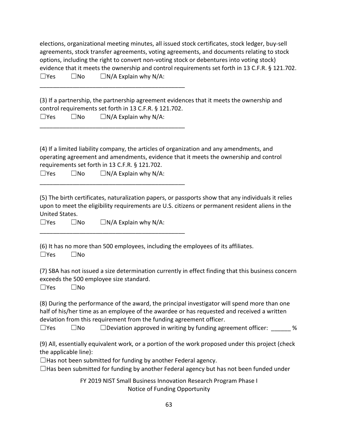|                     | elections, organizational meeting minutes, all issued stock certificates, stock ledger, buy-sell |
|---------------------|--------------------------------------------------------------------------------------------------|
|                     | agreements, stock transfer agreements, voting agreements, and documents relating to stock        |
|                     | options, including the right to convert non-voting stock or debentures into voting stock)        |
|                     | evidence that it meets the ownership and control requirements set forth in 13 C.F.R. § 121.702.  |
| $\Box$ Yes<br>l INo | $\Box$ N/A Explain why N/A:                                                                      |

(3) If a partnership, the partnership agreement evidences that it meets the ownership and control requirements set forth in 13 C.F.R. § 121.702.  $\square$ Yes  $\square$ No  $\square$  N/A Explain why N/A:

(4) If a limited liability company, the articles of organization and any amendments, and operating agreement and amendments, evidence that it meets the ownership and control requirements set forth in 13 C.F.R. § 121.702.

| $\Box$ Yes | $\square$ No | $\Box N/A$ Explain why N/A: |
|------------|--------------|-----------------------------|
|------------|--------------|-----------------------------|

\_\_\_\_\_\_\_\_\_\_\_\_\_\_\_\_\_\_\_\_\_\_\_\_\_\_\_\_\_\_\_\_\_\_\_\_\_\_\_\_\_\_\_\_

\_\_\_\_\_\_\_\_\_\_\_\_\_\_\_\_\_\_\_\_\_\_\_\_\_\_\_\_\_\_\_\_\_\_\_\_\_\_\_\_\_\_\_\_

\_\_\_\_\_\_\_\_\_\_\_\_\_\_\_\_\_\_\_\_\_\_\_\_\_\_\_\_\_\_\_\_\_\_\_\_\_\_\_\_\_\_\_\_

\_\_\_\_\_\_\_\_\_\_\_\_\_\_\_\_\_\_\_\_\_\_\_\_\_\_\_\_\_\_\_\_\_\_\_\_\_\_\_\_\_\_\_\_

(5) The birth certificates, naturalization papers, or passports show that any individuals it relies upon to meet the eligibility requirements are U.S. citizens or permanent resident aliens in the United States.

☐Yes ☐No ☐N/A Explain why N/A:

(6) It has no more than 500 employees, including the employees of its affiliates. ☐Yes ☐No

(7) SBA has not issued a size determination currently in effect finding that this business concern exceeds the 500 employee size standard.

☐Yes ☐No

(8) During the performance of the award, the principal investigator will spend more than one half of his/her time as an employee of the awardee or has requested and received a written deviation from this requirement from the funding agreement officer.

 $\square$ Yes  $\square$ No  $\square$  Deviation approved in writing by funding agreement officer:  $\%$ 

(9) All, essentially equivalent work, or a portion of the work proposed under this project (check the applicable line):

 $\Box$  Has not been submitted for funding by another Federal agency.

 $\Box$ Has been submitted for funding by another Federal agency but has not been funded under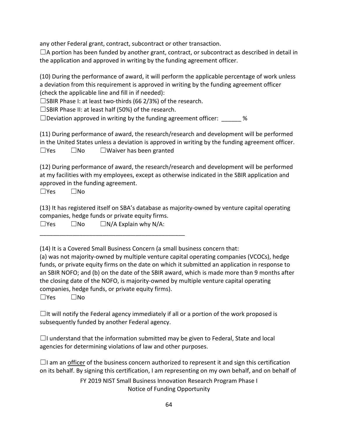any other Federal grant, contract, subcontract or other transaction.

 $\Box$ A portion has been funded by another grant, contract, or subcontract as described in detail in the application and approved in writing by the funding agreement officer.

(10) During the performance of award, it will perform the applicable percentage of work unless a deviation from this requirement is approved in writing by the funding agreement officer (check the applicable line and fill in if needed):

 $\square$ SBIR Phase I: at least two-thirds (66 2/3%) of the research.

☐SBIR Phase II: at least half (50%) of the research.

 $\Box$ Deviation approved in writing by the funding agreement officer:  $\%$ 

(11) During performance of award, the research/research and development will be performed in the United States unless a deviation is approved in writing by the funding agreement officer.  $\square$ Yes  $\square$ No  $\square$ Waiver has been granted

(12) During performance of award, the research/research and development will be performed at my facilities with my employees, except as otherwise indicated in the SBIR application and approved in the funding agreement.

☐Yes ☐No

(13) It has registered itself on SBA's database as majority-owned by venture capital operating companies, hedge funds or private equity firms.

 $\square$ Yes  $\square$ No  $\square$  N/A Explain why N/A:

\_\_\_\_\_\_\_\_\_\_\_\_\_\_\_\_\_\_\_\_\_\_\_\_\_\_\_\_\_\_\_\_\_\_\_\_\_\_\_\_\_\_\_\_

(14) It is a Covered Small Business Concern (a small business concern that:

(a) was not majority-owned by multiple venture capital operating companies (VCOCs), hedge funds, or private equity firms on the date on which it submitted an application in response to an SBIR NOFO; and (b) on the date of the SBIR award, which is made more than 9 months after the closing date of the NOFO, is majority-owned by multiple venture capital operating companies, hedge funds, or private equity firms).

☐Yes ☐No

 $\Box$ It will notify the Federal agency immediately if all or a portion of the work proposed is subsequently funded by another Federal agency.

 $\Box$ I understand that the information submitted may be given to Federal, State and local agencies for determining violations of law and other purposes.

 $\Box$ I am an officer of the business concern authorized to represent it and sign this certification on its behalf. By signing this certification, I am representing on my own behalf, and on behalf of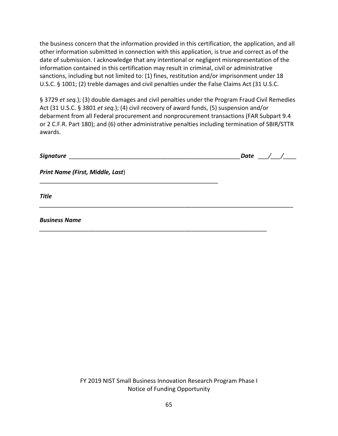the business concern that the information provided in this certification, the application, and all other information submitted in connection with this application, is true and correct as of the date of submission. I acknowledge that any intentional or negligent misrepresentation of the information contained in this certification may result in criminal, civil or administrative sanctions, including but not limited to: (1) fines, restitution and/or imprisonment under 18 U.S.C. § 1001; (2) treble damages and civil penalties under the False Claims Act (31 U.S.C.

§ 3729 *et seq.*); (3) double damages and civil penalties under the Program Fraud Civil Remedies Act (31 U.S.C. § 3801 *et seq.*); (4) civil recovery of award funds, (5) suspension and/or debarment from all Federal procurement and nonprocurement transactions (FAR Subpart 9.4 or 2 C.F.R. Part 180); and (6) other administrative penalties including termination of SBIR/STTR awards.

|                                  | Date / / |  |
|----------------------------------|----------|--|
| Print Name (First, Middle, Last) |          |  |
| <b>Title</b>                     |          |  |
| <b>Business Name</b>             |          |  |
|                                  |          |  |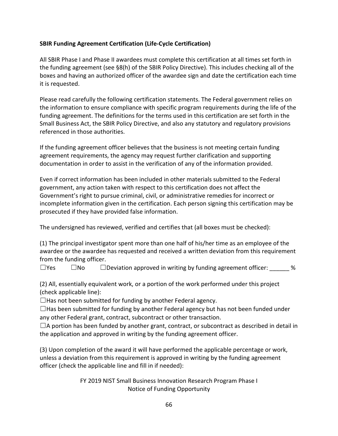### **SBIR Funding Agreement Certification (Life-Cycle Certification)**

All SBIR Phase I and Phase II awardees must complete this certification at all times set forth in the funding agreement (see §8(h) of the SBIR Policy Directive). This includes checking all of the boxes and having an authorized officer of the awardee sign and date the certification each time it is requested.

Please read carefully the following certification statements. The Federal government relies on the information to ensure compliance with specific program requirements during the life of the funding agreement. The definitions for the terms used in this certification are set forth in the Small Business Act, the SBIR Policy Directive, and also any statutory and regulatory provisions referenced in those authorities.

If the funding agreement officer believes that the business is not meeting certain funding agreement requirements, the agency may request further clarification and supporting documentation in order to assist in the verification of any of the information provided.

Even if correct information has been included in other materials submitted to the Federal government, any action taken with respect to this certification does not affect the Government's right to pursue criminal, civil, or administrative remedies for incorrect or incomplete information given in the certification. Each person signing this certification may be prosecuted if they have provided false information.

The undersigned has reviewed, verified and certifies that (all boxes must be checked):

(1) The principal investigator spent more than one half of his/her time as an employee of the awardee or the awardee has requested and received a written deviation from this requirement from the funding officer.

 $\square$ Yes  $\square$ No  $\square$ Deviation approved in writing by funding agreement officer:  $\%$ 

(2) All, essentially equivalent work, or a portion of the work performed under this project (check applicable line):

 $\Box$  Has not been submitted for funding by another Federal agency.

 $\Box$ Has been submitted for funding by another Federal agency but has not been funded under any other Federal grant, contract, subcontract or other transaction.

 $\Box$ A portion has been funded by another grant, contract, or subcontract as described in detail in the application and approved in writing by the funding agreement officer.

(3) Upon completion of the award it will have performed the applicable percentage or work, unless a deviation from this requirement is approved in writing by the funding agreement officer (check the applicable line and fill in if needed):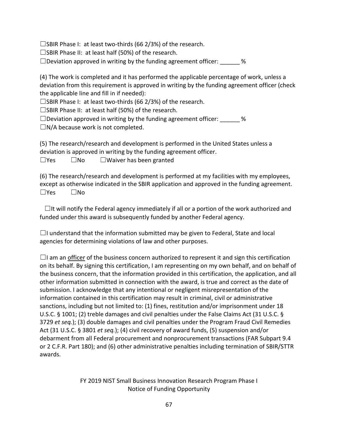$\square$ SBIR Phase I: at least two-thirds (66 2/3%) of the research.

☐SBIR Phase II: at least half (50%) of the research.

 $\square$ Deviation approved in writing by the funding agreement officer: \_\_\_\_\_\_ %

(4) The work is completed and it has performed the applicable percentage of work, unless a deviation from this requirement is approved in writing by the funding agreement officer (check the applicable line and fill in if needed):

 $\square$ SBIR Phase I: at least two-thirds (66 2/3%) of the research.

☐SBIR Phase II: at least half (50%) of the research.

 $\square$  Deviation approved in writing by the funding agreement officer: \_\_\_\_\_\_ %

 $\square$ N/A because work is not completed.

(5) The research/research and development is performed in the United States unless a deviation is approved in writing by the funding agreement officer.

☐Yes ☐No ☐Waiver has been granted

(6) The research/research and development is performed at my facilities with my employees, except as otherwise indicated in the SBIR application and approved in the funding agreement. ☐Yes ☐No

 $\Box$ It will notify the Federal agency immediately if all or a portion of the work authorized and funded under this award is subsequently funded by another Federal agency.

 $\Box$ I understand that the information submitted may be given to Federal, State and local agencies for determining violations of law and other purposes.

 $\Box$ I am an officer of the business concern authorized to represent it and sign this certification on its behalf. By signing this certification, I am representing on my own behalf, and on behalf of the business concern, that the information provided in this certification, the application, and all other information submitted in connection with the award, is true and correct as the date of submission. I acknowledge that any intentional or negligent misrepresentation of the information contained in this certification may result in criminal, civil or administrative sanctions, including but not limited to: (1) fines, restitution and/or imprisonment under 18 U.S.C. § 1001; (2) treble damages and civil penalties under the False Claims Act (31 U.S.C. § 3729 *et seq.*); (3) double damages and civil penalties under the Program Fraud Civil Remedies Act (31 U.S.C. § 3801 *et seq.*); (4) civil recovery of award funds, (5) suspension and/or debarment from all Federal procurement and nonprocurement transactions (FAR Subpart 9.4 or 2 C.F.R. Part 180); and (6) other administrative penalties including termination of SBIR/STTR awards.